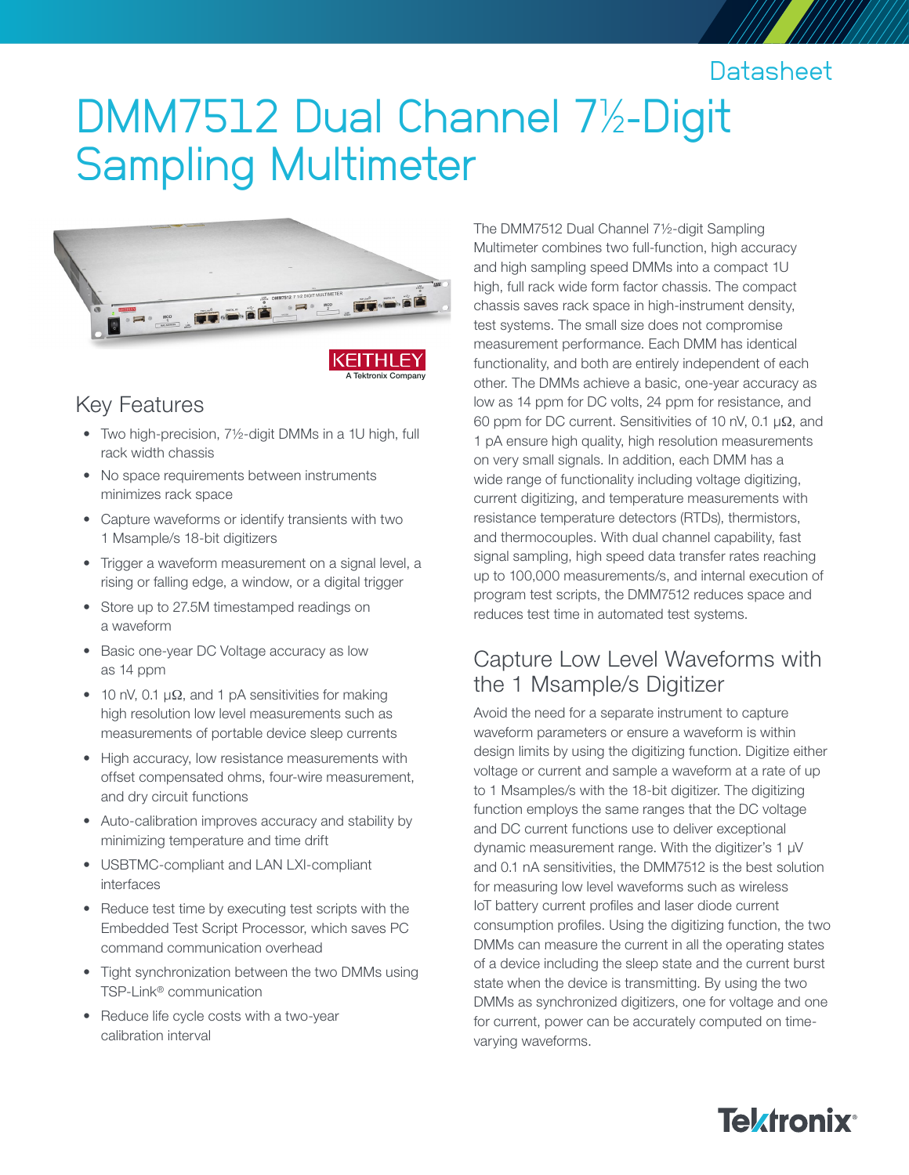# **Datasheet**

# DMM7512 Dual Channel 7½-Digit Sampling Multimeter





### Key Features

- Two high-precision, 7½-digit DMMs in a 1U high, full rack width chassis
- No space requirements between instruments minimizes rack space
- Capture waveforms or identify transients with two 1 Msample/s 18-bit digitizers
- Trigger a waveform measurement on a signal level, a rising or falling edge, a window, or a digital trigger
- Store up to 27.5M timestamped readings on a waveform
- Basic one-year DC Voltage accuracy as low as 14 ppm
- 10 nV, 0.1  $\mu\Omega$ , and 1 pA sensitivities for making high resolution low level measurements such as measurements of portable device sleep currents
- High accuracy, low resistance measurements with offset compensated ohms, four-wire measurement, and dry circuit functions
- Auto-calibration improves accuracy and stability by minimizing temperature and time drift
- USBTMC-compliant and LAN LXI-compliant interfaces
- Reduce test time by executing test scripts with the Embedded Test Script Processor, which saves PC command communication overhead
- Tight synchronization between the two DMMs using TSP-Link® communication
- Reduce life cycle costs with a two-year calibration interval

The DMM7512 Dual Channel 7½-digit Sampling Multimeter combines two full-function, high accuracy and high sampling speed DMMs into a compact 1U high, full rack wide form factor chassis. The compact chassis saves rack space in high-instrument density, test systems. The small size does not compromise measurement performance. Each DMM has identical functionality, and both are entirely independent of each other. The DMMs achieve a basic, one-year accuracy as low as 14 ppm for DC volts, 24 ppm for resistance, and 60 ppm for DC current. Sensitivities of 10 nV, 0.1 µΩ, and 1 pA ensure high quality, high resolution measurements on very small signals. In addition, each DMM has a wide range of functionality including voltage digitizing, current digitizing, and temperature measurements with resistance temperature detectors (RTDs), thermistors, and thermocouples. With dual channel capability, fast signal sampling, high speed data transfer rates reaching up to 100,000 measurements/s, and internal execution of program test scripts, the DMM7512 reduces space and reduces test time in automated test systems.

### Capture Low Level Waveforms with the 1 Msample/s Digitizer

Avoid the need for a separate instrument to capture waveform parameters or ensure a waveform is within design limits by using the digitizing function. Digitize either voltage or current and sample a waveform at a rate of up to 1 Msamples/s with the 18-bit digitizer. The digitizing function employs the same ranges that the DC voltage and DC current functions use to deliver exceptional dynamic measurement range. With the digitizer's 1 µV and 0.1 nA sensitivities, the DMM7512 is the best solution for measuring low level waveforms such as wireless IoT battery current profiles and laser diode current consumption profiles. Using the digitizing function, the two DMMs can measure the current in all the operating states of a device including the sleep state and the current burst state when the device is transmitting. By using the two DMMs as synchronized digitizers, one for voltage and one for current, power can be accurately computed on timevarying waveforms.

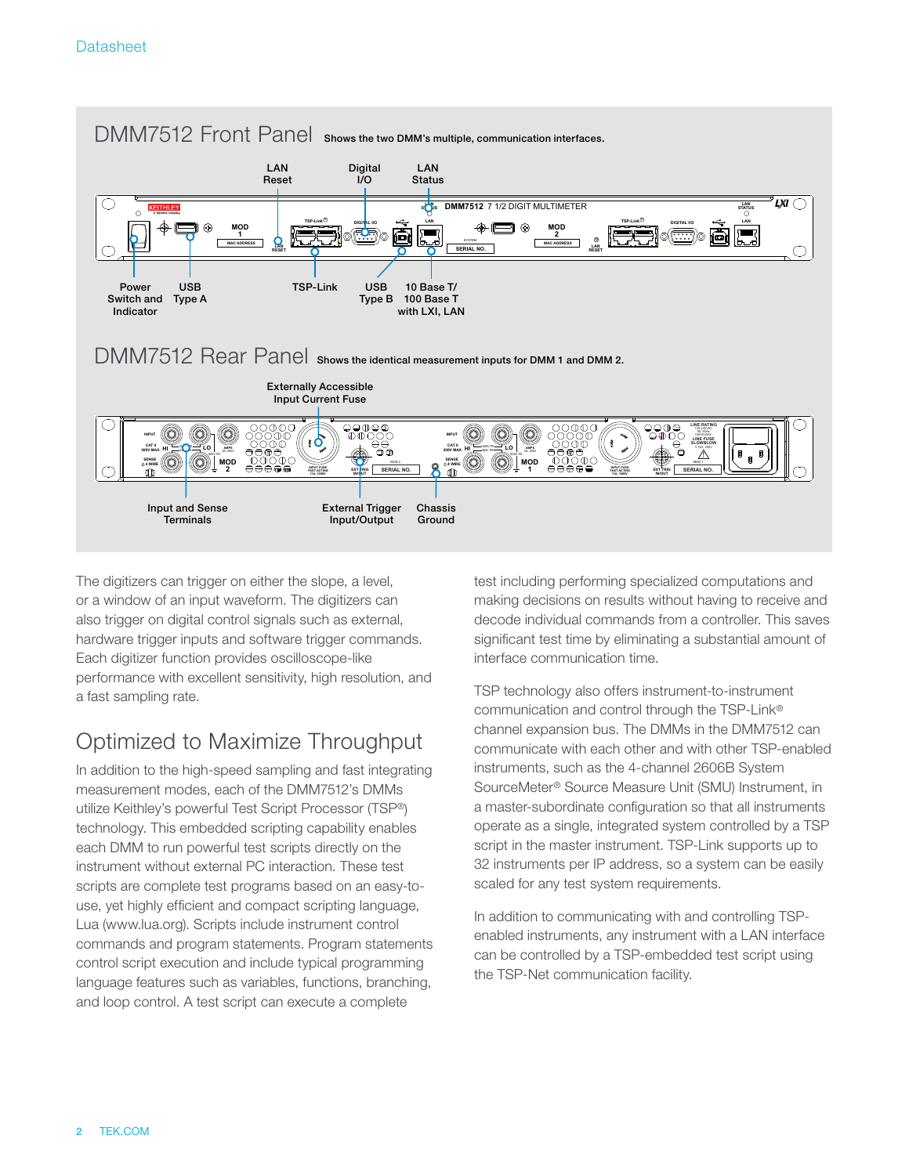

The digitizers can trigger on either the slope, a level, or a window of an input waveform. The digitizers can also trigger on digital control signals such as external, hardware trigger inputs and software trigger commands. Each digitizer function provides oscilloscope-like performance with excellent sensitivity, high resolution, and a fast sampling rate.

# Optimized to Maximize Throughput

In addition to the high-speed sampling and fast integrating measurement modes, each of the DMM7512's DMMs utilize Keithley's powerful Test Script Processor (TSP®) technology. This embedded scripting capability enables each DMM to run powerful test scripts directly on the instrument without external PC interaction. These test scripts are complete test programs based on an easy-touse, yet highly efficient and compact scripting language, Lua (www.lua.org). Scripts include instrument control commands and program statements. Program statements control script execution and include typical programming language features such as variables, functions, branching, and loop control. A test script can execute a complete

test including performing specialized computations and making decisions on results without having to receive and decode individual commands from a controller. This saves significant test time by eliminating a substantial amount of interface communication time.

TSP technology also offers instrument-to-instrument communication and control through the TSP-Link® channel expansion bus. The DMMs in the DMM7512 can communicate with each other and with other TSP-enabled instruments, such as the 4-channel 2606B System SourceMeter® Source Measure Unit (SMU) Instrument, in a master-subordinate configuration so that all instruments operate as a single, integrated system controlled by a TSP script in the master instrument. TSP-Link supports up to 32 instruments per IP address, so a system can be easily scaled for any test system requirements.

In addition to communicating with and controlling TSPenabled instruments, any instrument with a LAN interface can be controlled by a TSP-embedded test script using the TSP-Net communication facility.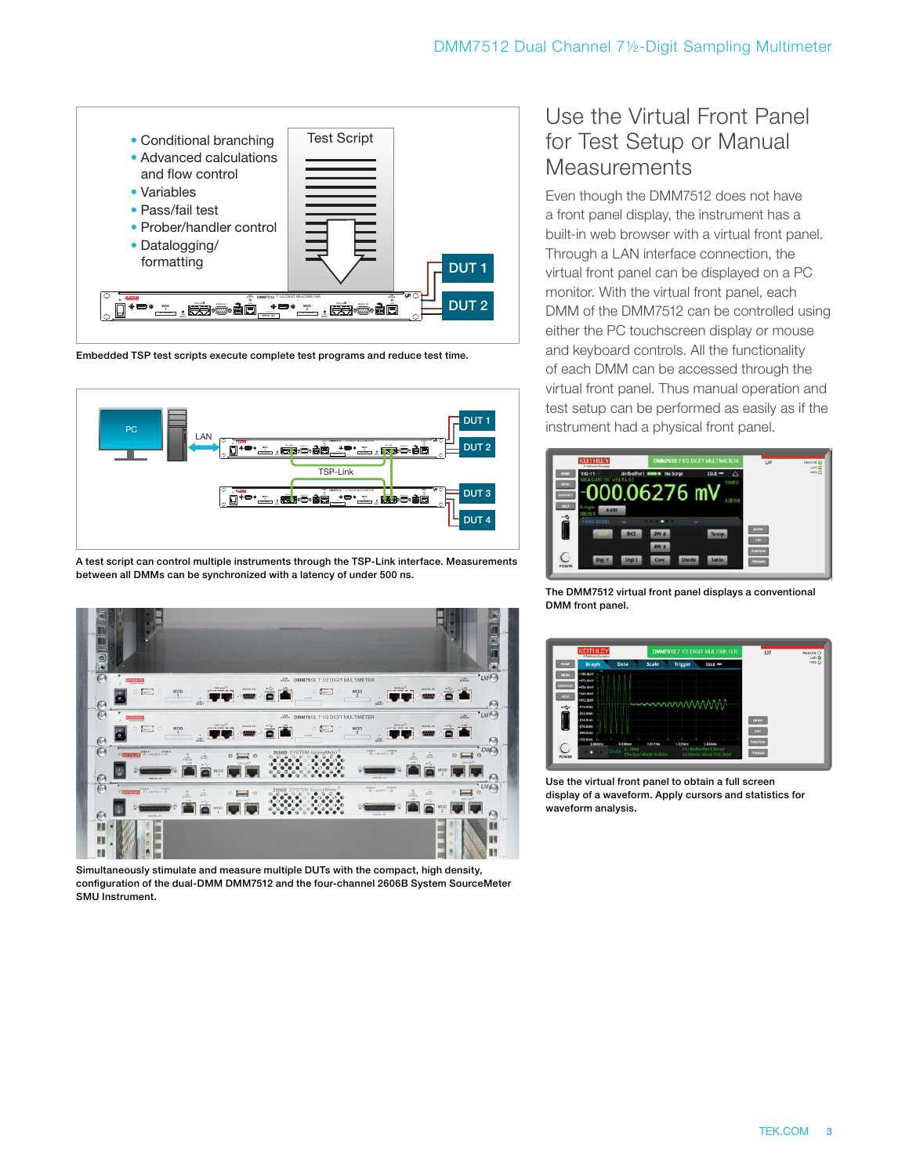

Embedded TSP test scripts execute complete test programs and reduce test time.



A test script can control multiple instruments through the TSP-Link interface. Measurements between all DMMs can be synchronized with a latency of under 500 ns.



Simultaneously stimulate and measure multiple DUTs with the compact, high density, configuration of the dual-DMM DMM7512 and the four-channel 2606B System SourceMeter SMU Instrument.

### Use the Virtual Front Panel for Test Setup or Manual **Measurements**

Even though the DMM7512 does not have a front panel display, the instrument has a built-in web browser with a virtual front panel. Through a LAN interface connection, the virtual front panel can be displayed on a PC monitor. With the virtual front panel, each DMM of the DMM7512 can be controlled using either the PC touchscreen display or mouse and keyboard controls. All the functionality of each DMM can be accessed through the virtual front panel. Thus manual operation and test setup can be performed as easily as if the instrument had a physical front panel.



The DMM7512 virtual front panel displays a conventional DMM front panel.



Use the virtual front panel to obtain a full screen display of a waveform. Apply cursors and statistics for waveform analysis.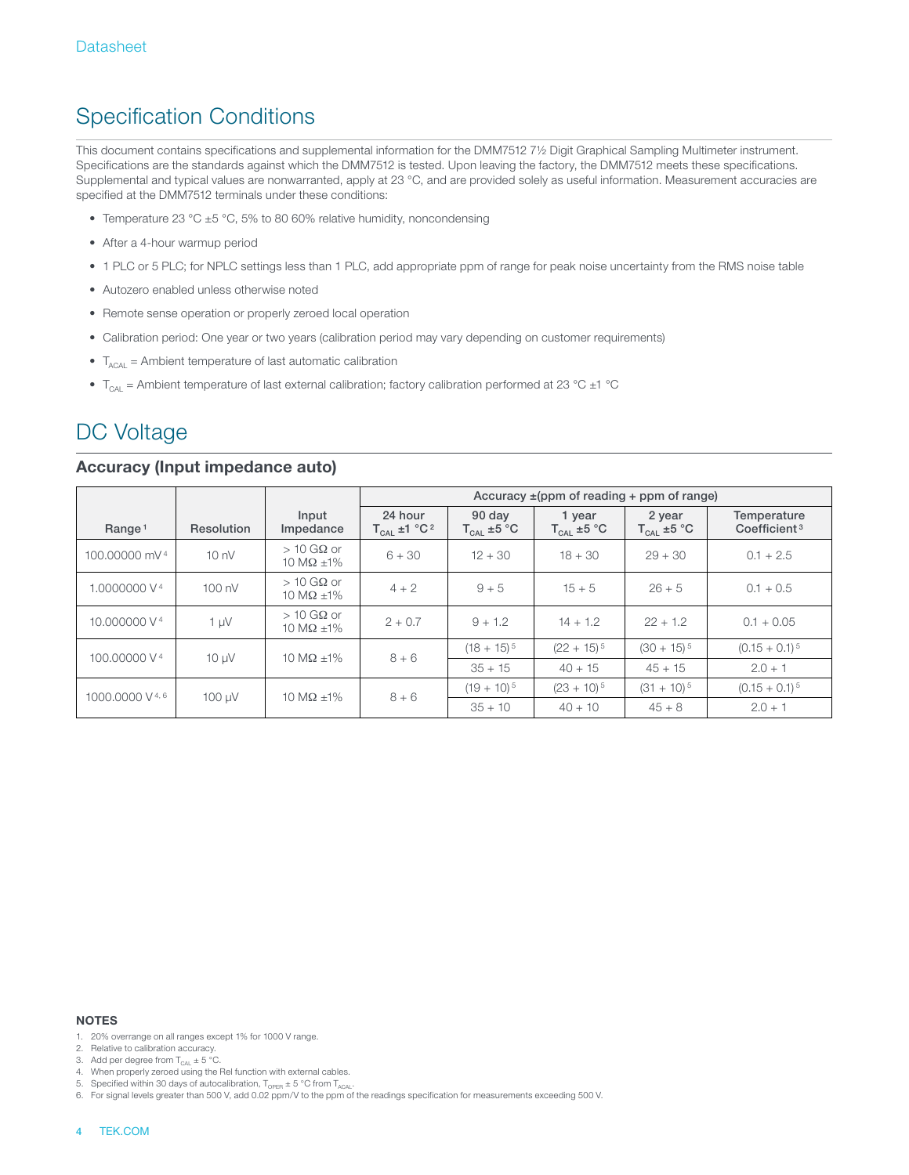# Specification Conditions

This document contains specifications and supplemental information for the DMM7512 7½ Digit Graphical Sampling Multimeter instrument. Specifications are the standards against which the DMM7512 is tested. Upon leaving the factory, the DMM7512 meets these specifications. Supplemental and typical values are nonwarranted, apply at 23 °C, and are provided solely as useful information. Measurement accuracies are specified at the DMM7512 terminals under these conditions:

- Temperature 23 °C ±5 °C, 5% to 80 60% relative humidity, noncondensing
- After a 4-hour warmup period
- 1 PLC or 5 PLC; for NPLC settings less than 1 PLC, add appropriate ppm of range for peak noise uncertainty from the RMS noise table
- Autozero enabled unless otherwise noted
- Remote sense operation or properly zeroed local operation
- Calibration period: One year or two years (calibration period may vary depending on customer requirements)
- $T_{ACAL}$  = Ambient temperature of last automatic calibration
- $T_{\text{CAL}}$  = Ambient temperature of last external calibration; factory calibration performed at 23 °C  $\pm$ 1 °C

# DC Voltage

#### **Accuracy (Input impedance auto)**

|                            |                  |                                  | Accuracy $\pm$ (ppm of reading + ppm of range) |                                  |                                  |                                  |                                         |
|----------------------------|------------------|----------------------------------|------------------------------------------------|----------------------------------|----------------------------------|----------------------------------|-----------------------------------------|
| Range <sup>1</sup>         | Resolution       | Input<br>Impedance               | 24 hour<br>$T_{CAL}$ ±1 $°C^2$                 | 90 day<br>$T_{\text{cal}}$ ±5 °C | 1 year<br>$T_{\text{CAL}}$ ±5 °C | 2 year<br>$T_{\text{CAL}}$ ±5 °C | Temperature<br>Coefficient <sup>3</sup> |
| 100,00000 mV 4             | 10 <sub>nV</sub> | $>10$ GQ or<br>10 M $\Omega$ ±1% | $6 + 30$                                       | $12 + 30$                        | $18 + 30$                        | $29 + 30$                        | $0.1 + 2.5$                             |
| 1.0000000 V <sup>4</sup>   | $100 \text{ nV}$ | $>10$ GQ or<br>10 M $\Omega$ ±1% | $4 + 2$                                        | $9 + 5$                          | $15 + 5$                         | $26 + 5$                         | $0.1 + 0.5$                             |
| 10,000000 V <sup>4</sup>   | $1 \mu V$        | $>10$ GQ or<br>10 M $\Omega$ ±1% | $2 + 0.7$                                      | $9 + 1.2$                        | $14 + 1.2$                       | $22 + 1.2$                       | $0.1 + 0.05$                            |
| 100,00000 V <sup>4</sup>   | $10 \mu V$       | 10 M $\Omega$ +1%                | $8 + 6$                                        | $(18 + 15)^5$                    | $(22 + 15)^5$                    | $(30 + 15)^5$                    | $(0.15 + 0.1)^5$                        |
|                            |                  |                                  |                                                | $35 + 15$                        | $40 + 15$                        | $45 + 15$                        | $2.0 + 1$                               |
| 1000,0000 V <sup>4,6</sup> | 100 uV           | 10 M $\Omega$ +1%                | $8 + 6$                                        | $(19 + 10)^5$                    | $(23 + 10)^5$                    | $(31 + 10)^5$                    | $(0.15 + 0.1)^5$                        |
|                            |                  |                                  |                                                | $35 + 10$                        | $40 + 10$                        | $45 + 8$                         | $2.0 + 1$                               |

- 1. 20% overrange on all ranges except 1% for 1000 V range.
- 2. Relative to calibration accuracy.
- 3. Add per degree from  $T_{\text{CAL}} \pm 5$  °C.

- 5. Specified within 30 days of autocalibration,  $T_{\text{OPER}} \pm 5 \text{ °C}$  from  $T_{\text{ACAL}}$ .
- 6. For signal levels greater than 500 V, add 0.02 ppm/V to the ppm of the readings specification for measurements exceeding 500 V.

<sup>4.</sup> When properly zeroed using the Rel function with external cables.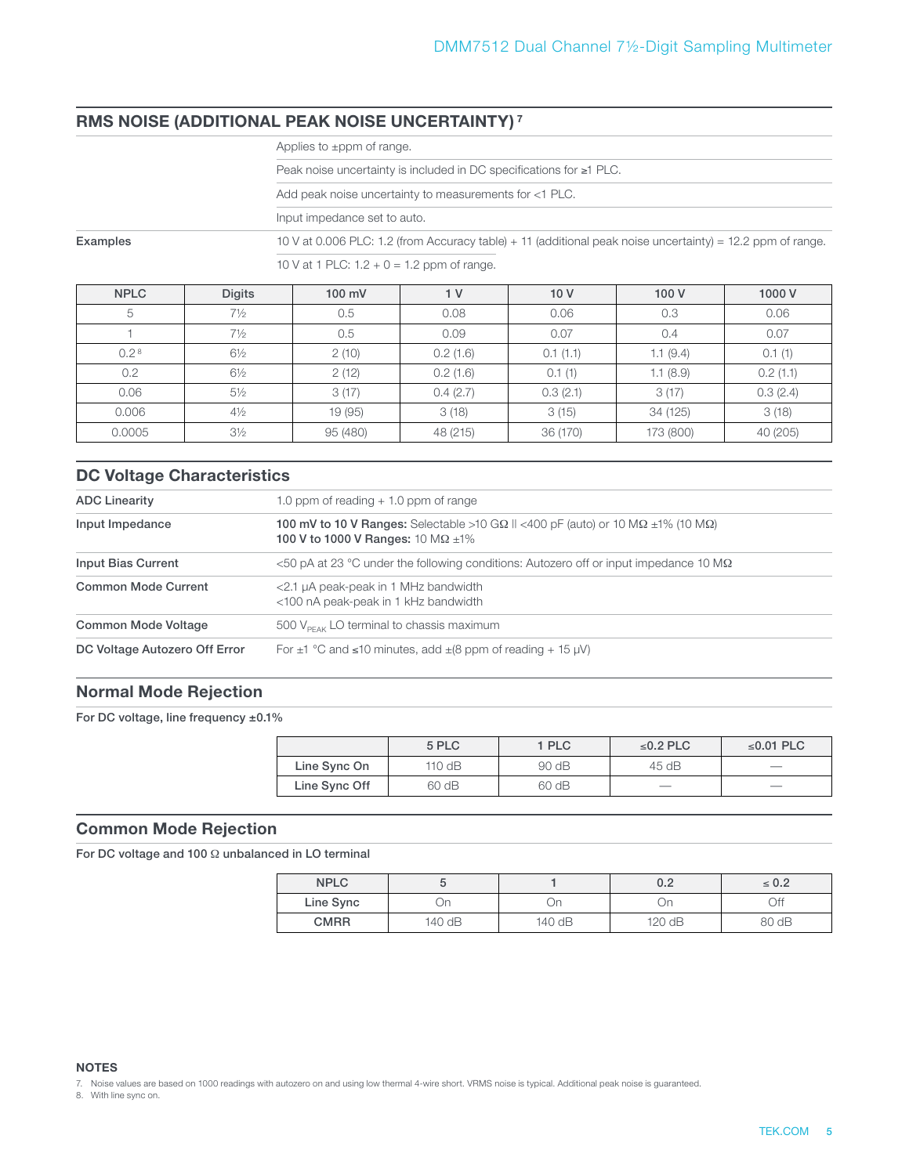### **RMS NOISE (ADDITIONAL PEAK NOISE UNCERTAINTY) 7**

|                                                                                                                                                                        |                | Peak noise uncertainty is included in DC specifications for $\geq 1$ PLC. |                |          |           |          |  |  |  |
|------------------------------------------------------------------------------------------------------------------------------------------------------------------------|----------------|---------------------------------------------------------------------------|----------------|----------|-----------|----------|--|--|--|
|                                                                                                                                                                        |                | Add peak noise uncertainty to measurements for <1 PLC.                    |                |          |           |          |  |  |  |
|                                                                                                                                                                        |                | Input impedance set to auto.                                              |                |          |           |          |  |  |  |
| 10 V at 0.006 PLC: 1.2 (from Accuracy table) + 11 (additional peak noise uncertainty) = 12.2 ppm of range.<br>Examples<br>10 V at 1 PLC: $1.2 + 0 = 1.2$ ppm of range. |                |                                                                           |                |          |           |          |  |  |  |
| <b>NPLC</b>                                                                                                                                                            | <b>Digits</b>  | 100 mV                                                                    | 1 <sub>V</sub> | 10V      | 100 V     | 1000 V   |  |  |  |
| 5                                                                                                                                                                      | $7\frac{1}{2}$ | 0.5                                                                       | 0.08           | 0.06     | 0.3       | 0.06     |  |  |  |
|                                                                                                                                                                        | $7\frac{1}{2}$ | 0.5                                                                       | 0.09           | 0.07     | 0.4       | 0.07     |  |  |  |
| 0.2 <sup>8</sup>                                                                                                                                                       | $6\frac{1}{2}$ | 2(10)                                                                     | 0.2(1.6)       | 0.1(1.1) | 1.1(9.4)  | 0.1(1)   |  |  |  |
| 0.2                                                                                                                                                                    | $6\frac{1}{2}$ | 2(12)                                                                     | 0.2(1.6)       | 0.1(1)   | 1.1(8.9)  | 0.2(1.1) |  |  |  |
| 0.06                                                                                                                                                                   | $5\frac{1}{2}$ | 3(17)                                                                     | 0.4(2.7)       | 0.3(2.1) | 3(17)     | 0.3(2.4) |  |  |  |
| 0.006                                                                                                                                                                  | $4\frac{1}{2}$ | 19 (95)                                                                   | 3(18)          | 3(15)    | 34 (125)  | 3(18)    |  |  |  |
| 0.0005                                                                                                                                                                 | $3\frac{1}{2}$ | 95 (480)                                                                  | 48 (215)       | 36 (170) | 173 (800) | 40 (205) |  |  |  |

### **DC Voltage Characteristics**

| <b>ADC Linearity</b>          | 1.0 ppm of reading $+$ 1.0 ppm of range                                                                                                                      |
|-------------------------------|--------------------------------------------------------------------------------------------------------------------------------------------------------------|
| Input Impedance               | <b>100 mV to 10 V Ranges:</b> Selectable >10 G $\Omega$ II <400 pF (auto) or 10 M $\Omega$ ±1% (10 M $\Omega$ )<br>100 V to 1000 V Ranges: 10 M $\Omega$ ±1% |
| Input Bias Current            | $<$ 50 pA at 23 °C under the following conditions: Autozero off or input impedance 10 M $\Omega$                                                             |
| <b>Common Mode Current</b>    | <2.1 µA peak-peak in 1 MHz bandwidth<br><100 nA peak-peak in 1 kHz bandwidth                                                                                 |
| Common Mode Voltage           | 500 $V_{\text{PE4K}}$ LO terminal to chassis maximum                                                                                                         |
| DC Voltage Autozero Off Error | For $\pm$ 1 °C and $\le$ 10 minutes, add $\pm$ (8 ppm of reading + 15 µV)                                                                                    |

#### **Normal Mode Rejection**

For DC voltage, line frequency ±0.1%

|               | 5 PLC    | 1 PLC | $\leq$ 0.2 PLC           | ≤0.01 PLC |
|---------------|----------|-------|--------------------------|-----------|
| Line Sync On  | 110 $dB$ | 90 dB | 45 dB                    |           |
| Line Sync Off | 60 dB    | 60 dB | $\overline{\phantom{a}}$ | __        |

#### **Common Mode Rejection**

For DC voltage and 100 Ω unbalanced in LO terminal

| <b>NPLC</b> |        |        | 0.2    | $\leq 0.2$ |
|-------------|--------|--------|--------|------------|
| Line Sync   | Эn     | υn     | IJη    | Off        |
| <b>CMRR</b> | 140 dB | 140 dB | 120 dB | 80dB       |

**NOTES**

7. Noise values are based on 1000 readings with autozero on and using low thermal 4-wire short. VRMS noise is typical. Additional peak noise is guaranteed.

8. With line sync on.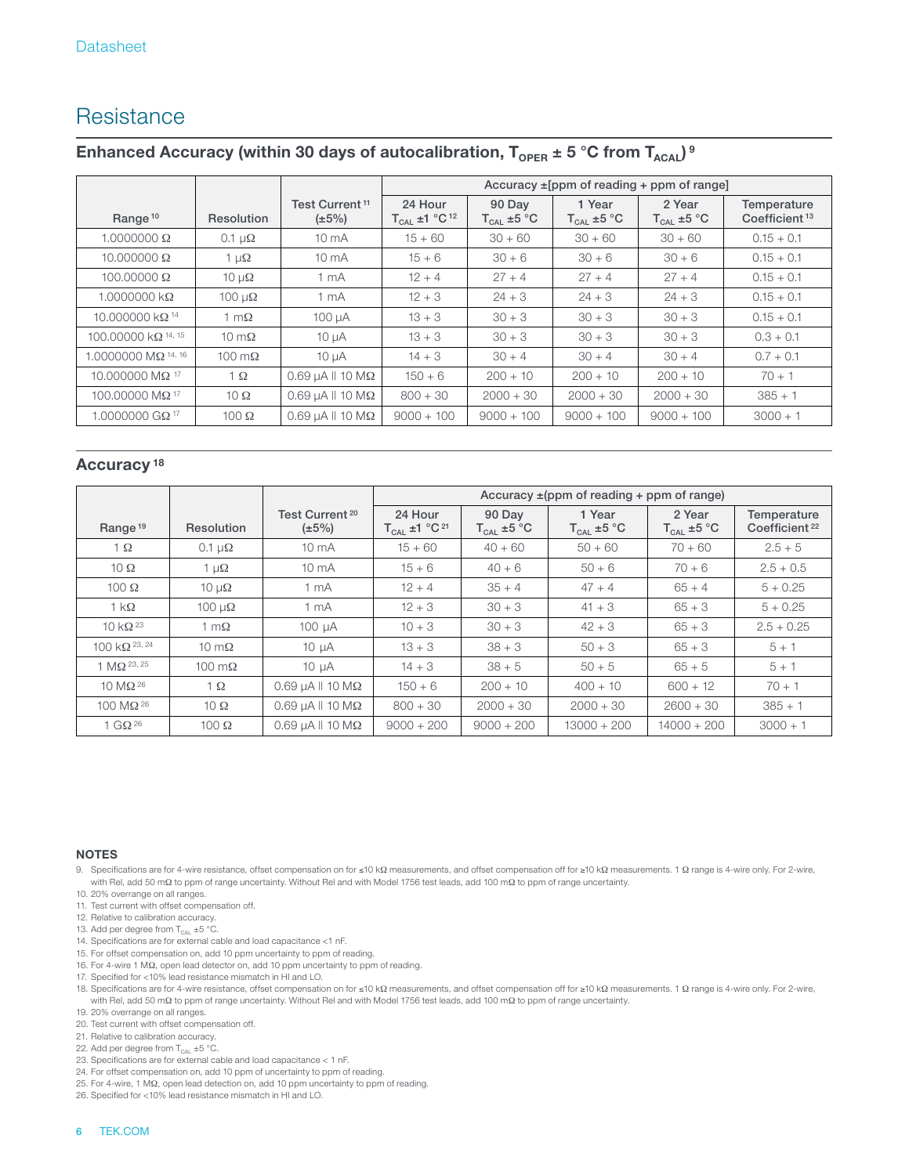# **Resistance**

### Enhanced Accuracy (within 30 days of autocalibration,  $T_{\text{OPER}} \pm 5 \degree C$  from  $T_{\text{ACAL}}$ )<sup>9</sup>

|                                         |                      |                                           | Accuracy $\pm$ [ppm of reading + ppm of range] |                                  |                                  |                           |                                          |
|-----------------------------------------|----------------------|-------------------------------------------|------------------------------------------------|----------------------------------|----------------------------------|---------------------------|------------------------------------------|
| Range <sup>10</sup>                     | Resolution           | Test Current <sup>11</sup><br>$(\pm 5\%)$ | 24 Hour<br>$T_{CAL}$ ±1 °C <sup>12</sup>       | 90 Day<br>$T_{\text{cal}}$ ±5 °C | 1 Year<br>$T_{\text{CAL}}$ ±5 °C | 2 Year<br>$T_{CAI}$ ±5 °C | Temperature<br>Coefficient <sup>13</sup> |
| $1.0000000 \Omega$                      | 0.1 $\mu\Omega$      | $10 \text{ mA}$                           | $15 + 60$                                      | $30 + 60$                        | $30 + 60$                        | $30 + 60$                 | $0.15 + 0.1$                             |
| $10.000000 \Omega$                      | 1 $\mu\Omega$        | $10 \text{ mA}$                           | $15 + 6$                                       | $30 + 6$                         | $30 + 6$                         | $30 + 6$                  | $0.15 + 0.1$                             |
| 100,00000 $\Omega$                      | $10 \mu\Omega$       | 1 mA                                      | $12 + 4$                                       | $27 + 4$                         | $27 + 4$                         | $27 + 4$                  | $0.15 + 0.1$                             |
| $1.0000000$ kΩ                          | $100 \mu\Omega$      | 1 mA                                      | $12 + 3$                                       | $24 + 3$                         | $24 + 3$                         | $24 + 3$                  | $0.15 + 0.1$                             |
| 10.000000 $k\Omega$ <sup>14</sup>       | 1 m $\Omega$         | 100 µA                                    | $13 + 3$                                       | $30 + 3$                         | $30 + 3$                         | $30 + 3$                  | $0.15 + 0.1$                             |
| 100.00000 k $\Omega$ <sup>14, 15</sup>  | $10 \text{ m}\Omega$ | $10 \mu A$                                | $13 + 3$                                       | $30 + 3$                         | $30 + 3$                         | $30 + 3$                  | $0.3 + 0.1$                              |
| $.0000000$ M $\Omega$ <sup>14, 16</sup> | 100 m $\Omega$       | $10 \mu A$                                | $14 + 3$                                       | $30 + 4$                         | $30 + 4$                         | $30 + 4$                  | $0.7 + 0.1$                              |
| 10.000000 MΩ <sup>17</sup>              | $1 \Omega$           | $0.69$ uA $\parallel$ 10 M $\Omega$       | $150 + 6$                                      | $200 + 10$                       | $200 + 10$                       | $200 + 10$                | $70 + 1$                                 |
| 100.00000 MΩ <sup>17</sup>              | $10 \Omega$          | $0.69$ µA $\parallel$ 10 M $\Omega$       | $800 + 30$                                     | $2000 + 30$                      | $2000 + 30$                      | $2000 + 30$               | $385 + 1$                                |
| 1.0000000 G $\Omega$ <sup>17</sup>      | $100 \Omega$         | $0.69 \mu A \parallel 10 \text{ M}\Omega$ | $9000 + 100$                                   | $9000 + 100$                     | $9000 + 100$                     | $9000 + 100$              | $3000 + 1$                               |

#### **Accuracy 18**

|                             |                         |                                           | Accuracy $\pm$ (ppm of reading + ppm of range) |                           |                                  |                                             |                                          |
|-----------------------------|-------------------------|-------------------------------------------|------------------------------------------------|---------------------------|----------------------------------|---------------------------------------------|------------------------------------------|
| Range <sup>19</sup>         | Resolution              | Test Current <sup>20</sup><br>$(\pm 5\%)$ | 24 Hour<br>$T_{CAL}$ ±1 °C <sup>21</sup>       | 90 Day<br>$T_{CAL}$ ±5 °C | 1 Year<br>$T_{\text{CAL}}$ ±5 °C | 2 Year<br>$\mathsf{T}_{\mathsf{CAL}}$ ±5 °C | Temperature<br>Coefficient <sup>22</sup> |
| $\overline{1}$ $\Omega$     | $0.1 \mu\Omega$         | $10 \text{ mA}$                           | $15 + 60$                                      | $40 + 60$                 | $50 + 60$                        | $70 + 60$                                   | $2.5 + 5$                                |
| $10 \Omega$                 | 1 $\mu\Omega$           | $10 \text{ mA}$                           | $15 + 6$                                       | $40 + 6$                  | $50 + 6$                         | $70 + 6$                                    | $2.5 + 0.5$                              |
| $100 \Omega$                | $10 \mu\Omega$          | 1 mA                                      | $12 + 4$                                       | $35 + 4$                  | $47 + 4$                         | $65 + 4$                                    | $5 + 0.25$                               |
| $1 \text{ k}\Omega$         | $100 \mu\Omega$         | 1 mA                                      | $12 + 3$                                       | $30 + 3$                  | $41 + 3$                         | $65 + 3$                                    | $5 + 0.25$                               |
| 10 k $\Omega$ <sup>23</sup> | 1 m $\Omega$            | $100 \mu A$                               | $10 + 3$                                       | $30 + 3$                  | $42 + 3$                         | $65 + 3$                                    | $2.5 + 0.25$                             |
| 100 k $\Omega$ 23, 24       | $10 \text{ m}\Omega$    | $10 \mu A$                                | $13 + 3$                                       | $38 + 3$                  | $50 + 3$                         | $65 + 3$                                    | $5 + 1$                                  |
| 1 $MO$ 23, 25               | $100 \text{ m}\Omega$   | $10 \mu A$                                | $14 + 3$                                       | $38 + 5$                  | $50 + 5$                         | $65 + 5$                                    | $5 + 1$                                  |
| $10 \text{ M}\Omega^{26}$   | $\overline{1}$ $\Omega$ | $0.69$ µA $\parallel$ 10 M $\Omega$       | $150 + 6$                                      | $200 + 10$                | $400 + 10$                       | $600 + 12$                                  | $70 + 1$                                 |
| $100 \text{ M}\Omega^{26}$  | $10 \Omega$             | $0.69$ µA $\parallel$ 10 M $\Omega$       | $800 + 30$                                     | $2000 + 30$               | $2000 + 30$                      | $2600 + 30$                                 | $385 + 1$                                |
| 1 GQ $^{26}$                | $100 \Omega$            | $0.69$ µA $\parallel$ 10 M $\Omega$       | $9000 + 200$                                   | $9000 + 200$              | $13000 + 200$                    | $14000 + 200$                               | $3000 + 1$                               |

- 9. Specifications are for 4-wire resistance, offset compensation on for ≤10 kΩ measurements, and offset compensation off for ≥10 kΩ measurements. 1 Ω range is 4-wire only. For 2-wire, with Rel, add 50 mΩ to ppm of range uncertainty. Without Rel and with Model 1756 test leads, add 100 mΩ to ppm of range uncertainty.
- 10. 20% overrange on all ranges.
- 11. Test current with offset compensation off.
- 12. Relative to calibration accuracy.
- 13. Add per degree from  $T_{CAL} \pm 5$  °C.
- 14. Specifications are for external cable and load capacitance <1 nF.
- 15. For offset compensation on, add 10 ppm uncertainty to ppm of reading.
- 16. For 4-wire 1 MΩ, open lead detector on, add 10 ppm uncertainty to ppm of reading.
- 17. Specified for <10% lead resistance mismatch in HI and LO.
- 18. Specifications are for 4-wire resistance, offset compensation on for ≤10 kΩ measurements, and offset compensation off for ≥10 kΩ measurements. 1 Ω range is 4-wire only. For 2-wire,<br>with Rel, add 50 mΩ to ppm of range
- 19. 20% overrange on all ranges.
- 20. Test current with offset compensation off.
- 21. Relative to calibration accuracy.
- 22. Add per degree from  $T_{\text{CAL}}$  ±5 °C.
- 23. Specifications are for external cable and load capacitance < 1 nF.
- 24. For offset compensation on, add 10 ppm of uncertainty to ppm of reading. 25. For 4-wire, 1 MΩ, open lead detection on, add 10 ppm uncertainty to ppm of reading.
- 26. Specified for <10% lead resistance mismatch in HI and LO.
	-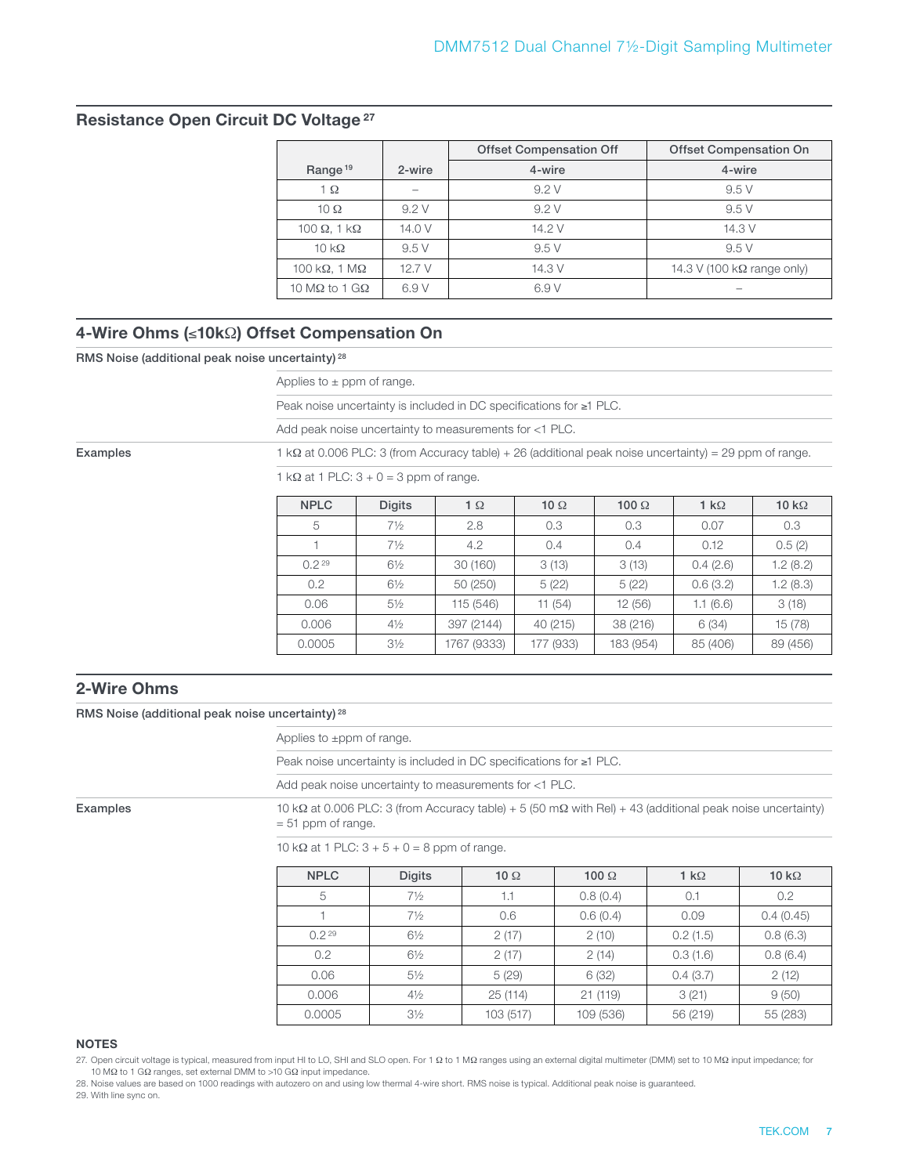#### **Resistance Open Circuit DC Voltage 27**

|                               |                          | <b>Offset Compensation Off</b> | <b>Offset Compensation On</b>     |
|-------------------------------|--------------------------|--------------------------------|-----------------------------------|
| Range <sup>19</sup>           | 2-wire                   | 4-wire                         | 4-wire                            |
| 1 $\Omega$                    | $\overline{\phantom{a}}$ | 9.2V                           | 9.5V                              |
| 10 $\Omega$                   | 9.2V                     | 9.2V                           | 9.5V                              |
| 100 $\Omega$ , 1 k $\Omega$   | 14.0 V                   | 14.2 V                         | 14.3 V                            |
| $10 \text{ k}\Omega$          | 9.5V                     | 9.5V                           | 9.5V                              |
| 100 k $\Omega$ , 1 M $\Omega$ | 12.7 V                   | 14.3 V                         | 14.3 V (100 $k\Omega$ range only) |
| 10 M $\Omega$ to 1 G $\Omega$ | 6.9 V                    | 6.9 V                          |                                   |

### **4-Wire Ohms (**≤**10k**Ω**) Offset Compensation On**

RMS Noise (additional peak noise uncertainty) 28

Applies to  $\pm$  ppm of range.

Peak noise uncertainty is included in DC specifications for ≥1 PLC.

Add peak noise uncertainty to measurements for <1 PLC.

Examples 1 kΩ at 0.006 PLC: 3 (from Accuracy table) + 26 (additional peak noise uncertainty) = 29 ppm of range.

1 kΩ at 1 PLC:  $3 + 0 = 3$  ppm of range.

| <b>NPLC</b> | <b>Digits</b>  | $1 \Omega$  | 10 $\Omega$ | 100 $\Omega$ | 1 k $\Omega$ | 10 k $\Omega$ |
|-------------|----------------|-------------|-------------|--------------|--------------|---------------|
| 5           | $7\frac{1}{2}$ | 2.8         | 0.3         | 0.3          | 0.07         | 0.3           |
| 1           | $7\frac{1}{2}$ | 4.2         | 0.4         | 0.4          |              | 0.5(2)        |
| $0.2^{29}$  | $6\frac{1}{2}$ | 30(160)     | 3(13)       | 3(13)        | 0.4(2.6)     | 1.2(8.2)      |
| 0.2         | $6\frac{1}{2}$ | 50 (250)    | 5(22)       | 5(22)        | 0.6(3.2)     | 1.2(8.3)      |
| 0.06        | $5\frac{1}{2}$ | 115 (546)   | 11(54)      | 12(56)       | 1.1(6.6)     | 3(18)         |
| 0.006       | $4\frac{1}{2}$ | 397 (2144)  | 40 (215)    | 38 (216)     | 6(34)        | 15 (78)       |
| 0.0005      | $3\frac{1}{2}$ | 1767 (9333) | 177 (933)   | 183 (954)    | 85 (406)     | 89 (456)      |

#### **2-Wire Ohms**

RMS Noise (additional peak noise uncertainty) 28

Applies to ±ppm of range.

Peak noise uncertainty is included in DC specifications for ≥1 PLC.

Add peak noise uncertainty to measurements for <1 PLC.

Examples 10 kΩ at 0.006 PLC: 3 (from Accuracy table) + 5 (50 mΩ with Rel) + 43 (additional peak noise uncertainty) = 51 ppm of range.

10 kΩ at 1 PLC:  $3 + 5 + 0 = 8$  ppm of range.

| <b>NPLC</b> | <b>Digits</b>  | 10 $\Omega$ | 100 $\Omega$ | 1 k $\Omega$ | 10 k $\Omega$ |
|-------------|----------------|-------------|--------------|--------------|---------------|
| 5           | $7\frac{1}{2}$ | 1.1         | 0.8(0.4)     | 0.1          | 0.2           |
|             | $7\frac{1}{2}$ | 0.6         | 0.6(0.4)     | 0.09         | 0.4(0.45)     |
| $0.2^{29}$  | $6\frac{1}{2}$ | 2(17)       | 2(10)        | 0.2(1.5)     | 0.8(6.3)      |
| 0.2         | $6\frac{1}{2}$ | 2(17)       | 2(14)        | 0.3(1.6)     | 0.8(6.4)      |
| 0.06        | $5\frac{1}{2}$ | 5(29)       | 6(32)        | 0.4(3.7)     | 2(12)         |
| 0.006       | $4\frac{1}{2}$ | 25(114)     | 21(119)      | 3(21)        | 9(50)         |
| 0.0005      | $3\frac{1}{2}$ | 103 (517)   | 109 (536)    | 56 (219)     | 55 (283)      |

#### **NOTES**

27. Open circuit voltage is typical, measured from input HI to LO, SHI and SLO open. For 1 Ω to 1 MΩ ranges using an external digital multimeter (DMM) set to 10 MΩ input impedance; for 10 MΩ to 1 GΩ ranges, set external DMM to >10 GΩ input impedance.

28. Noise values are based on 1000 readings with autozero on and using low thermal 4-wire short. RMS noise is typical. Additional peak noise is guaranteed.

29. With line sync on.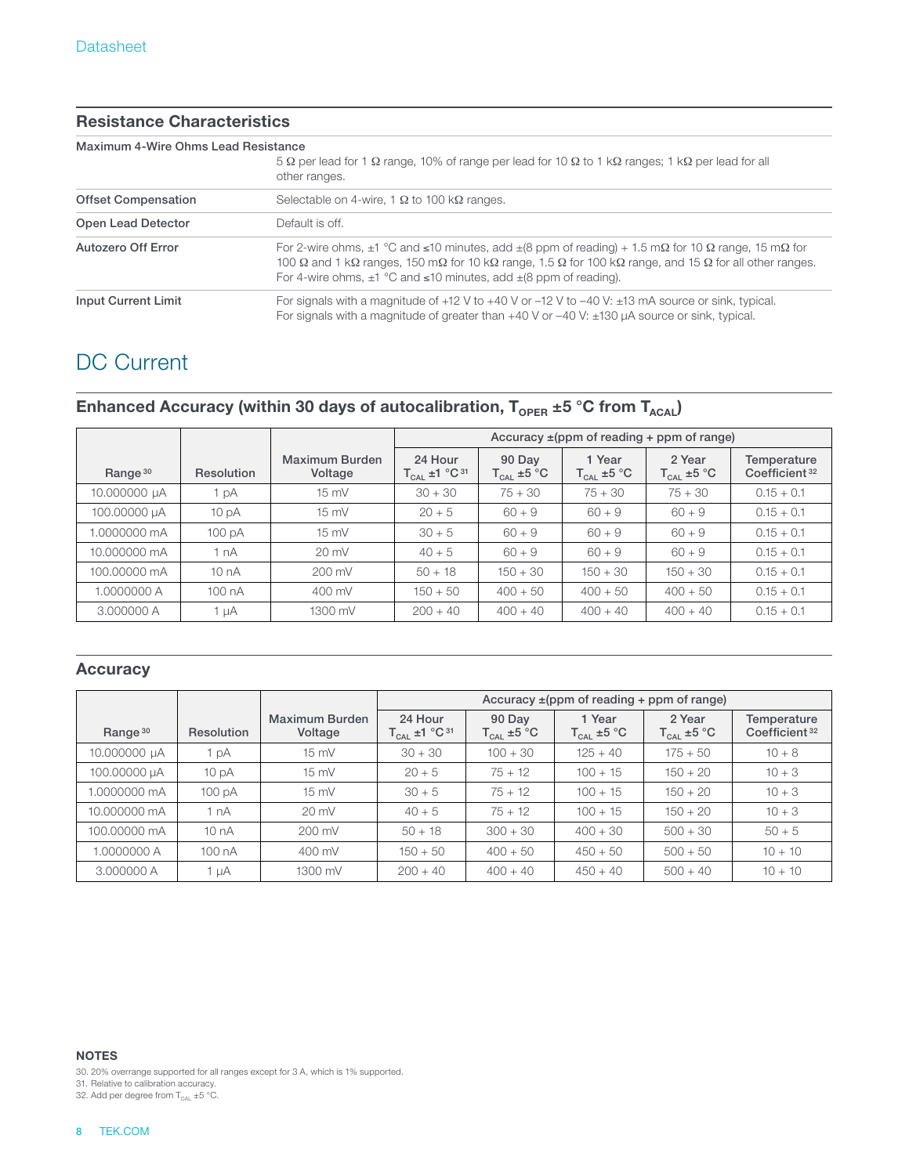#### **Resistance Characteristics**

#### Maximum 4-Wire Ohms Lead Resistance

|                            | 5 $\Omega$ per lead for 1 $\Omega$ range, 10% of range per lead for 10 $\Omega$ to 1 k $\Omega$ ranges; 1 k $\Omega$ per lead for all<br>other ranges.                                                                                                                                                                                                                                                   |
|----------------------------|----------------------------------------------------------------------------------------------------------------------------------------------------------------------------------------------------------------------------------------------------------------------------------------------------------------------------------------------------------------------------------------------------------|
| <b>Offset Compensation</b> | Selectable on 4-wire, 1 $\Omega$ to 100 k $\Omega$ ranges.                                                                                                                                                                                                                                                                                                                                               |
| Open Lead Detector         | Default is off.                                                                                                                                                                                                                                                                                                                                                                                          |
| Autozero Off Error         | For 2-wire ohms, $\pm 1$ °C and $\leq 10$ minutes, add $\pm (8 \text{ ppm of reading}) + 1.5 \text{ m}\Omega$ for 10 $\Omega$ range, 15 m $\Omega$ for<br>100 $\Omega$ and 1 k $\Omega$ ranges, 150 m $\Omega$ for 10 k $\Omega$ range, 1.5 $\Omega$ for 100 k $\Omega$ range, and 15 $\Omega$ for all other ranges.<br>For 4-wire ohms, $\pm 1$ °C and $\leq 10$ minutes, add $\pm (8$ ppm of reading). |
| <b>Input Current Limit</b> | For signals with a magnitude of $+12$ V to $+40$ V or $-12$ V to $-40$ V: $\pm 13$ mA source or sink, typical.<br>For signals with a magnitude of greater than $+40$ V or $-40$ V: $\pm$ 130 $\mu$ A source or sink, typical.                                                                                                                                                                            |

# DC Current

### Enhanced Accuracy (within 30 days of autocalibration, T<sub>OPER</sub> ±5 °C from T<sub>ACAL</sub>)

|                     |                  |                           | Accuracy $\pm$ (ppm of reading + ppm of range) |                                             |                                  |                           |                                          |
|---------------------|------------------|---------------------------|------------------------------------------------|---------------------------------------------|----------------------------------|---------------------------|------------------------------------------|
| Range <sup>30</sup> | Resolution       | Maximum Burden<br>Voltage | 24 Hour<br>$T_{CAL}$ ±1 °C <sup>31</sup>       | 90 Day<br>$\mathsf{T}_{\mathsf{CAL}}$ ±5 °C | 1 Year<br>$T_{\text{CAL}}$ ±5 °C | 2 Year<br>$T_{CAL}$ ±5 °C | Temperature<br>Coefficient <sup>32</sup> |
| 10.000000 µA        | 1 pA             | $15 \text{ mV}$           | $30 + 30$                                      | $75 + 30$                                   | $75 + 30$                        | $75 + 30$                 | $0.15 + 0.1$                             |
| 100.00000 µA        | 10 <sub>pA</sub> | $15 \text{ mV}$           | $20 + 5$                                       | $60 + 9$                                    | $60 + 9$                         | $60 + 9$                  | $0.15 + 0.1$                             |
| 1.0000000 mA        | 100 pA           | $15 \text{ mV}$           | $30 + 5$                                       | $60 + 9$                                    | $60 + 9$                         | $60 + 9$                  | $0.15 + 0.1$                             |
| 10.000000 mA        | 1 nA             | $20 \text{ mV}$           | $40 + 5$                                       | $60 + 9$                                    | $60 + 9$                         | $60 + 9$                  | $0.15 + 0.1$                             |
| 100,00000 mA        | 10nA             | $200 \text{ mV}$          | $50 + 18$                                      | $150 + 30$                                  | $150 + 30$                       | $150 + 30$                | $0.15 + 0.1$                             |
| 1.0000000 A         | 100nA            | 400 mV                    | $150 + 50$                                     | $400 + 50$                                  | $400 + 50$                       | $400 + 50$                | $0.15 + 0.1$                             |
| 3,000000 A          | 1 µA             | 1300 mV                   | $200 + 40$                                     | $400 + 40$                                  | $400 + 40$                       | $400 + 40$                | $0.15 + 0.1$                             |

#### **Accuracy**

|                     |                  |                           | Accuracy $\pm$ (ppm of reading + ppm of range) |                                                                      |                                  |                                   |                                          |  |  |
|---------------------|------------------|---------------------------|------------------------------------------------|----------------------------------------------------------------------|----------------------------------|-----------------------------------|------------------------------------------|--|--|
| Range <sup>30</sup> | Resolution       | Maximum Burden<br>Voltage | 24 Hour<br>$T_{CAL}$ ±1 °C <sup>31</sup>       | 90 Day<br>$\mathsf{T_{\mathsf{CAL}}}\pm \mathsf{5}~^\circ\mathsf{C}$ | 1 Year<br>$T_{\text{CAL}}$ ±5 °C | 2 Year<br>$T_{\text{CAL}}$ ±5 °C. | Temperature<br>Coefficient <sup>32</sup> |  |  |
| 10.000000 µA        | 1 pA             | $15 \text{ mV}$           | $30 + 30$                                      | $100 + 30$                                                           | $125 + 40$                       | $175 + 50$                        | $10 + 8$                                 |  |  |
| 100.00000 µA        | 10 <sub>pA</sub> | $15 \text{ mV}$           | $20 + 5$                                       | $75 + 12$                                                            | $100 + 15$                       | $150 + 20$                        | $10 + 3$                                 |  |  |
| 1.0000000 mA        | 100 pA           | $15 \text{ mV}$           | $30 + 5$                                       | $75 + 12$                                                            | $100 + 15$                       | $150 + 20$                        | $10 + 3$                                 |  |  |
| 10.000000 mA        | 1 nA             | $20 \text{ mV}$           | $40 + 5$                                       | $75 + 12$                                                            | $100 + 15$                       | $150 + 20$                        | $10 + 3$                                 |  |  |
| 100.00000 mA        | 10nA             | $200 \text{ mV}$          | $50 + 18$                                      | $300 + 30$                                                           | $400 + 30$                       | $500 + 30$                        | $50 + 5$                                 |  |  |
| 1.0000000 A         | 100nA            | 400 mV                    | $150 + 50$                                     | $400 + 50$                                                           | $450 + 50$                       | $500 + 50$                        | $10 + 10$                                |  |  |
| 3,000000 A          | 1 µA             | 1300 mV                   | $200 + 40$                                     | $400 + 40$                                                           | $450 + 40$                       | $500 + 40$                        | $10 + 10$                                |  |  |

**NOTES**

30. 20% overrange supported for all ranges except for 3 A, which is 1% supported.

31. Relative to calibration accuracy.

32. Add per degree from  $T_{\text{CAL}} \pm 5 \text{ °C}$ .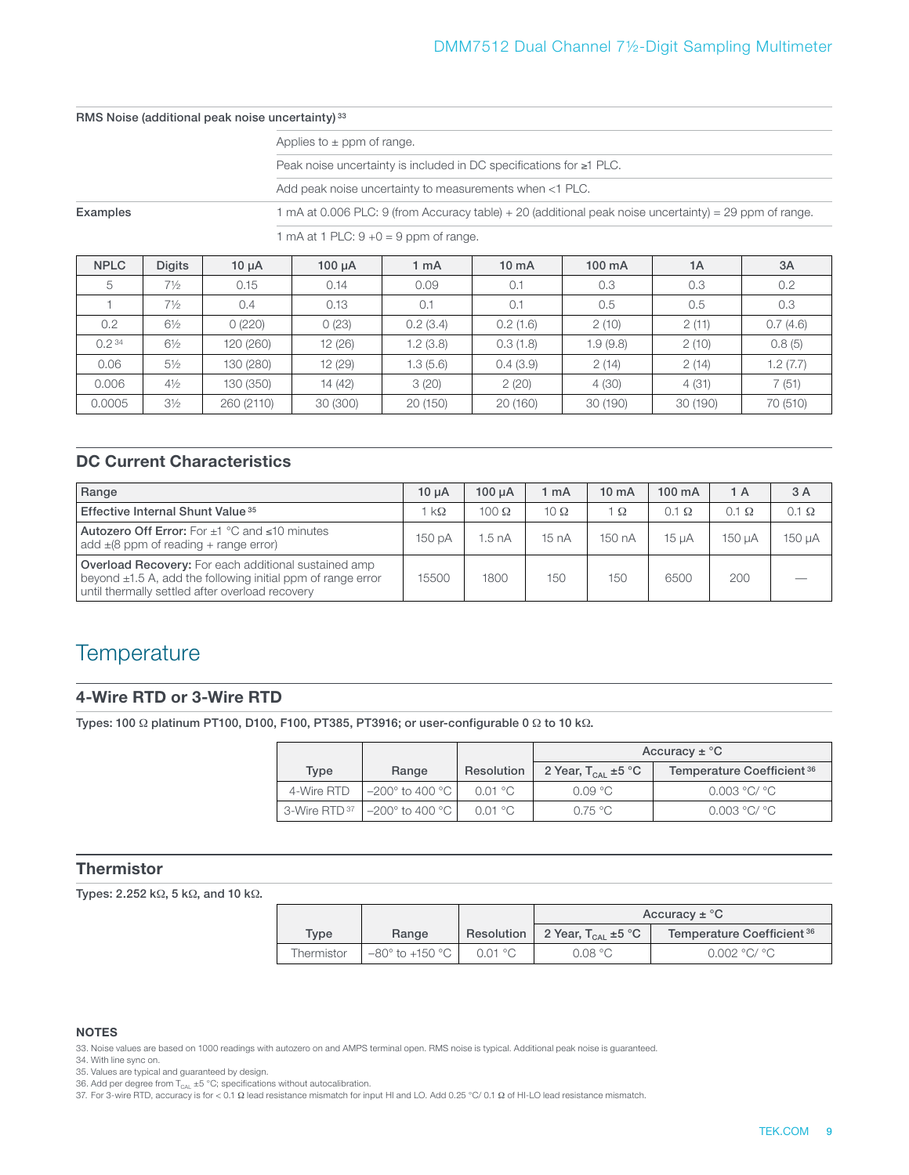#### RMS Noise (additional peak noise uncertainty) 33

|  |  |  | Applies to $\pm$ ppm of range. |
|--|--|--|--------------------------------|
|  |  |  |                                |

Peak noise uncertainty is included in DC specifications for ≥1 PLC.

Add peak noise uncertainty to measurements when <1 PLC.

Examples 1 mA at 0.006 PLC: 9 (from Accuracy table) + 20 (additional peak noise uncertainty) = 29 ppm of range.

1 mA at 1 PLC:  $9 + 0 = 9$  ppm of range.

| <b>NPLC</b>       | <b>Digits</b>  | $10 \mu A$ | $100 \mu A$ | 1 <sub>m</sub> A | $10 \text{ mA}$ | $100 \text{ mA}$ | 1A       | 3A       |
|-------------------|----------------|------------|-------------|------------------|-----------------|------------------|----------|----------|
| 5                 | $7\frac{1}{2}$ | 0.15       | 0.14        | 0.09             | 0.1             | 0.3              | 0.3      | 0.2      |
|                   | $7\frac{1}{2}$ | 0.4        | 0.13        | 0.1              | 0.1             | 0.5              | 0.5      | 0.3      |
| 0.2               | $6\frac{1}{2}$ | 0(220)     | 0(23)       | 0.2(3.4)         | 0.2(1.6)        | 2(10)            | 2(11)    | 0.7(4.6) |
| 0.2 <sup>34</sup> | $6\frac{1}{2}$ | 120 (260)  | 12(26)      | 1.2(3.8)         | 0.3(1.8)        | 1.9(9.8)         | 2(10)    | 0.8(5)   |
| 0.06              | $5\frac{1}{2}$ | 130 (280)  | 12(29)      | 1.3(5.6)         | 0.4(3.9)        | 2(14)            | 2(14)    | 1.2(7.7) |
| 0.006             | $4\frac{1}{2}$ | 130 (350)  | 14 (42)     | 3(20)            | 2(20)           | 4(30)            | 4(31)    | 7(51)    |
| 0.0005            | $3\frac{1}{2}$ | 260 (2110) | 30 (300)    | 20 (150)         | 20 (160)        | 30 (190)         | 30 (190) | 70 (510) |

### **DC Current Characteristics**

| Range                                                                                                                                                                              | 10 <sub>u</sub> A | $100 \mu A$       | mA          | $10 \text{ mA}$ | $100 \text{ mA}$ | 1 A          | 3 A          |
|------------------------------------------------------------------------------------------------------------------------------------------------------------------------------------|-------------------|-------------------|-------------|-----------------|------------------|--------------|--------------|
| Effective Internal Shunt Value <sup>35</sup>                                                                                                                                       | $k\Omega$         | 100 $\Omega$      | 10 $\Omega$ | lΩ              | $0.1 \Omega$     | $0.1 \Omega$ | $0.1 \Omega$ |
| Autozero Off Error: For $\pm 1$ °C and $\leq 10$ minutes<br>add $\pm$ (8 ppm of reading + range error)                                                                             | 150 pA            | 1.5 <sub>nA</sub> | 15 nA       | 150 nA          | 15 <sub>uA</sub> | 150 uA       | 150 µA       |
| <b>Overload Recovery:</b> For each additional sustained amp<br>beyond $\pm 1.5$ A, add the following initial ppm of range error<br>until thermally settled after overload recovery | 15500             | 1800              | 150         | 150             | 6500             | 200          |              |

### **Temperature**

#### **4-Wire RTD or 3-Wire RTD**

Types: 100 Ω platinum PT100, D100, F100, PT385, PT3916; or user-configurable 0 Ω to 10 kΩ.

|                          |                                         |                   | Accuracy $\pm$ °C       |                            |  |  |  |
|--------------------------|-----------------------------------------|-------------------|-------------------------|----------------------------|--|--|--|
| Type                     | Range                                   | Resolution        | 2 Year, $T_{CAI}$ ±5 °C | Temperature Coefficient 36 |  |  |  |
| 4-Wire RTD               | $-200^\circ$ to 400 °C l                | $0.01 \text{ °C}$ | 0.09 °C                 | 0.003 °C/ °C               |  |  |  |
| 3-Wire RTD <sup>37</sup> | $ -200^{\circ}$ to 400 $^{\circ}$ C $ $ | $0.01 \text{ °C}$ | 0.75 °C                 | 0.003 °C/ °C               |  |  |  |

#### **Thermistor**

Types: 2.252 kΩ, 5 kΩ, and 10 kΩ.

|            |                                     |         |                                             | Accuracy $\pm$ °C                     |
|------------|-------------------------------------|---------|---------------------------------------------|---------------------------------------|
| Type       | Range                               |         | Resolution   2 Year, $T_{\text{CAL}}$ ±5 °C | Temperature Coefficient <sup>36</sup> |
| Thermistor | $-80^\circ$ to +150 $^\circ$ C $\,$ | 0.01 °C | 0.08 °C                                     | 0.002 °C/ °C                          |

#### **NOTES**

33. Noise values are based on 1000 readings with autozero on and AMPS terminal open. RMS noise is typical. Additional peak noise is guaranteed.

34. With line sync on.

35. Values are typical and guaranteed by design.

36. Add per degree from  $T_{\text{CAL}}$  ±5 °C; specifications without autocalibration.

37. For 3-wire RTD, accuracy is for < 0.1 Ω lead resistance mismatch for input HI and LO. Add 0.25 °C/ 0.1 Ω of HI-LO lead resistance mismatch.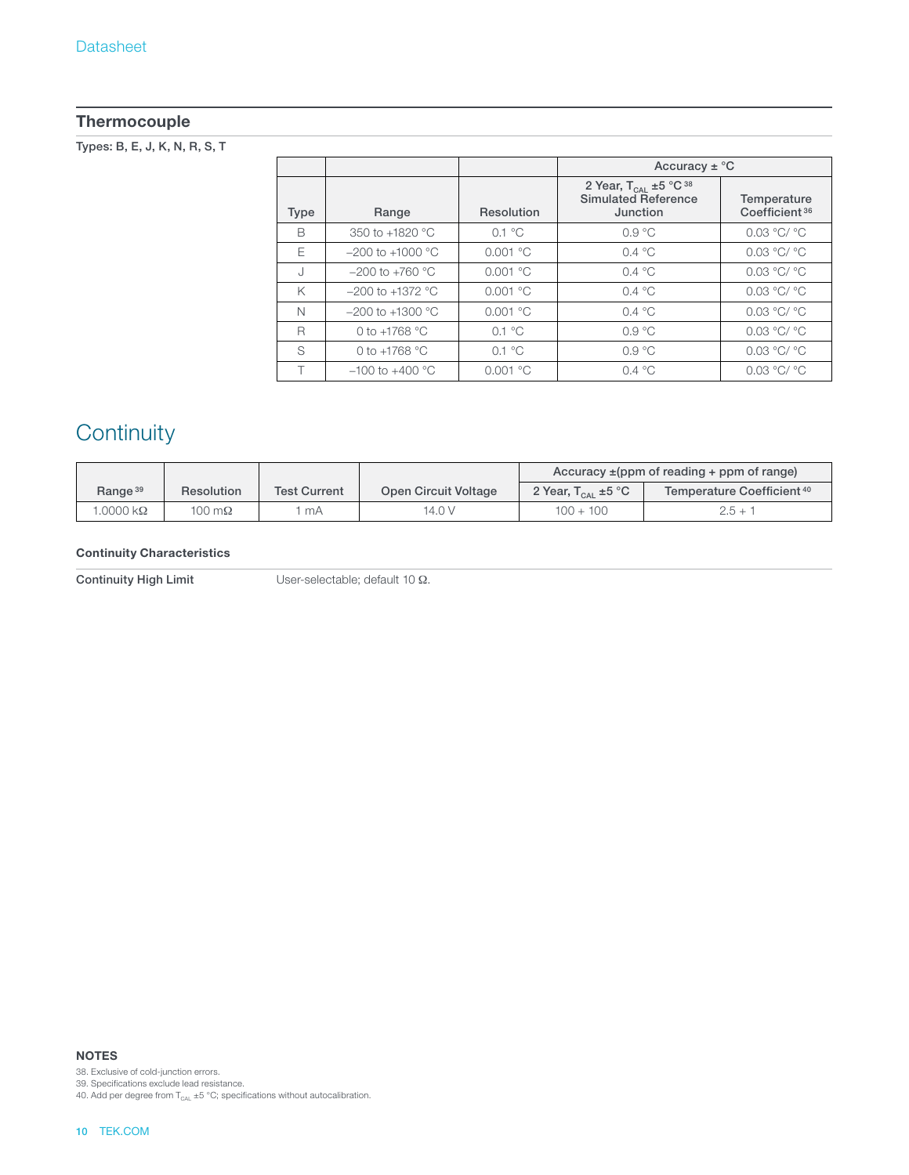### **Thermocouple**

Types: B, E, J, K, N, R, S, T

|             |                      |                         | Accuracy $\pm$ °C                                                                  |                                          |
|-------------|----------------------|-------------------------|------------------------------------------------------------------------------------|------------------------------------------|
| <b>Type</b> | Range                | Resolution              | 2 Year, $T_{CAL} \pm 5$ °C <sup>38</sup><br><b>Simulated Reference</b><br>Junction | Temperature<br>Coefficient <sup>36</sup> |
| B           | 350 to +1820 °C      | $0.1 \text{ }^{\circ}C$ | 0.9 °C                                                                             | 0.03 °C/ °C                              |
| F           | $-200$ to $+1000$ °C | 0.001 °C                | 0.4 °C                                                                             | 0.03 °C/ °C                              |
| J           | $-200$ to $+760$ °C  | 0.001 °C                | 0.4 °C                                                                             | 0.03 °C/ °C                              |
| K           | $-200$ to $+1372$ °C | 0.001 °C                | $0.4 \text{ }^{\circ}C$                                                            | 0.03 °C/ °C                              |
| N           | $-200$ to $+1300$ °C | 0.001 °C                | 0.4 °C                                                                             | 0.03 °C/ °C                              |
| R           | 0 to $+1768$ °C      | $0.1 \text{ }^{\circ}C$ | $0.9 \text{ °C}$                                                                   | 0.03 °C/ °C                              |
| S           | 0 to $+1768$ °C      | $0.1 \text{ }^{\circ}C$ | $0.9 \text{ °C}$                                                                   | 0.03 °C/ °C                              |
|             | $-100$ to $+400$ °C  | 0.001 °C                | 0.4 °C                                                                             | 0.03 °C/ °C                              |

# **Continuity**

|                           |                   |                     |                      | Accuracy $\pm$ (ppm of reading + ppm of range) |                                       |  |
|---------------------------|-------------------|---------------------|----------------------|------------------------------------------------|---------------------------------------|--|
| Range <sup>39</sup>       | <b>Resolution</b> | <b>Test Current</b> | Open Circuit Voltage | 2 Year, $T_{\text{cal}} \pm 5 \degree C$       | Temperature Coefficient <sup>40</sup> |  |
| $.0000\,\mathrm{k}\Omega$ | 100 m $\Omega$    | mA                  | 14.0 V               | $100 + 100$                                    | $2.5 + 1$                             |  |

#### **Continuity Characteristics**

Continuity High Limit User-selectable; default 10 Ω.

**NOTES**

38. Exclusive of cold-junction errors.

39. Specifications exclude lead resistance.

40. Add per degree from  $T_{\text{CAL}}$  ±5 °C; specifications without autocalibration.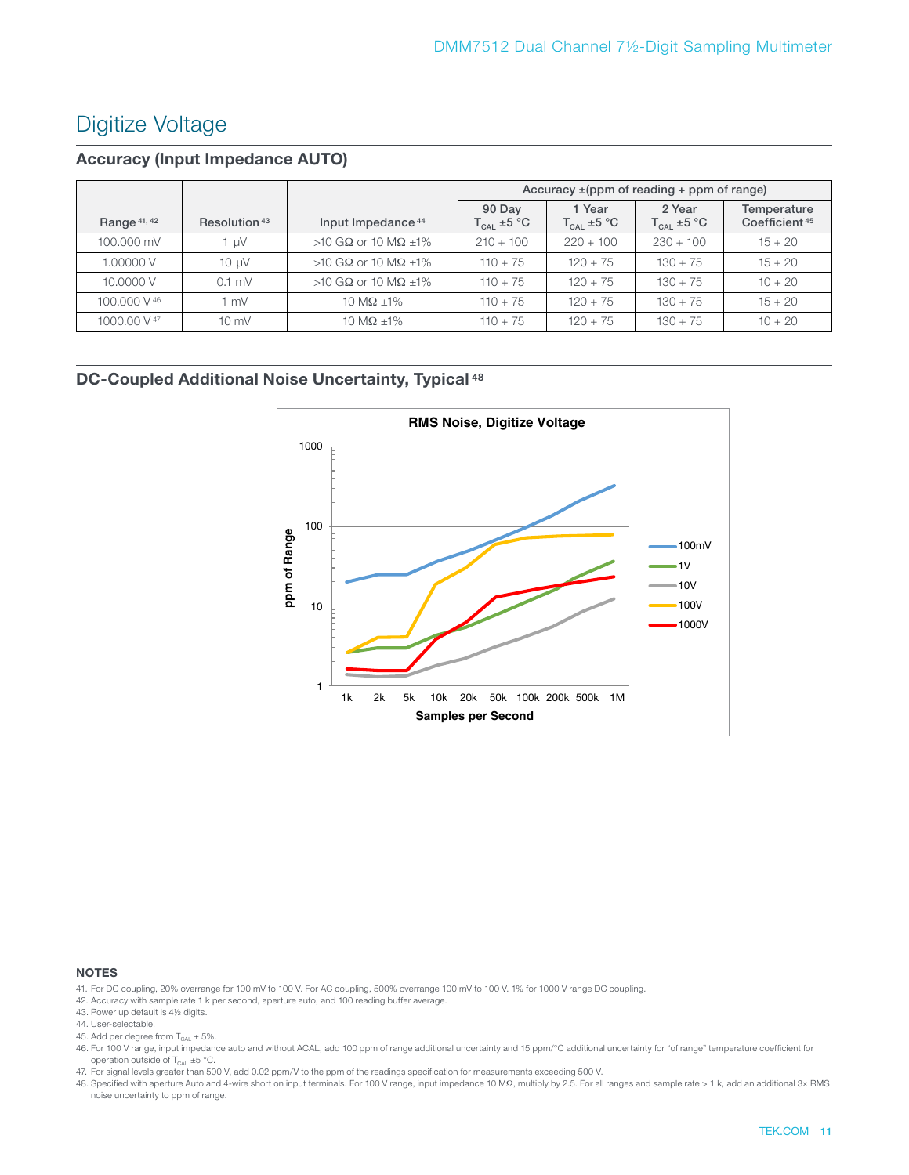### Digitize Voltage

### **Accuracy (Input Impedance AUTO)**

|                |                          |                               | Accuracy $\pm$ (ppm of reading + ppm of range) |                                  |                           |                                          |  |
|----------------|--------------------------|-------------------------------|------------------------------------------------|----------------------------------|---------------------------|------------------------------------------|--|
| Range $41, 42$ | Resolution <sup>43</sup> | Input Impedance <sup>44</sup> | 90 Day<br>$T_{\text{CAL}}$ ±5 °C               | 1 Year<br>$T_{\text{CAL}}$ ±5 °C | 2 Year<br>$T_{CAI}$ ±5 °C | Temperature<br>Coefficient <sup>45</sup> |  |
| 100,000 mV     | l uV                     | >10 GΩ or 10 MΩ $±1\%$        | $210 + 100$                                    | $220 + 100$                      | $230 + 100$               | $15 + 20$                                |  |
| 1.00000 V      | $10 \mu V$               | >10 GΩ or 10 MΩ $±1\%$        | $110 + 75$                                     | $120 + 75$                       | $130 + 75$                | $15 + 20$                                |  |
| 10.0000 V      | $0.1$ mV                 | >10 GΩ or 10 MΩ $±1\%$        | $110 + 75$                                     | $120 + 75$                       | $130 + 75$                | $10 + 20$                                |  |
| 100,000 V 46   | mV                       | 10 M $\Omega$ +1%             | $110 + 75$                                     | $120 + 75$                       | $130 + 75$                | $15 + 20$                                |  |
| 1000.00 V 47   | $10 \text{ mV}$          | 10 M $\Omega$ +1%             | $110 + 75$                                     | $120 + 75$                       | $130 + 75$                | $10 + 20$                                |  |

### **DC-Coupled Additional Noise Uncertainty, Typical 48**



- 41. For DC coupling, 20% overrange for 100 mV to 100 V. For AC coupling, 500% overrange 100 mV to 100 V. 1% for 1000 V range DC coupling.
- 42. Accuracy with sample rate 1 k per second, aperture auto, and 100 reading buffer average.
- 43. Power up default is 4½ digits.
- 44. User-selectable.
- 45. Add per degree from  $T_{\text{CAL}} \pm 5\%$ .
- 46. For 100 V range, input impedance auto and without ACAL, add 100 ppm of range additional uncertainty and 15 ppm/°C additional uncertainty for "of range" temperature coefficient for operation outside of  $T_{\text{CAL}}$  ±5 °C.
- 47. For signal levels greater than 500 V, add 0.02 ppm/V to the ppm of the readings specification for measurements exceeding 500 V.
- 48. Specified with aperture Auto and 4-wire short on input terminals. For 100 V range, input impedance 10 MΩ, multiply by 2.5. For all ranges and sample rate > 1 k, add an additional 3× RMS noise uncertainty to ppm of range.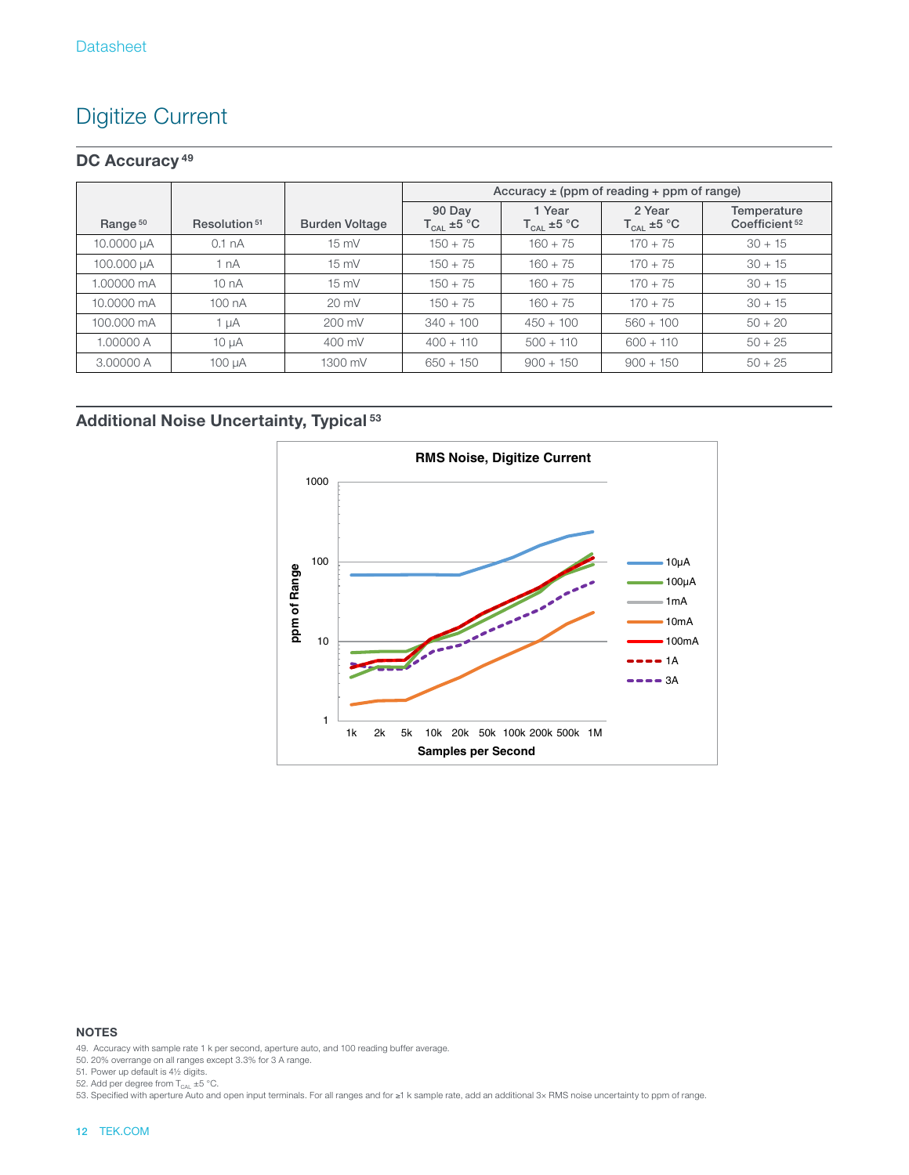# Digitize Current

### **DC Accuracy 49**

|                     |                          |                       | Accuracy $\pm$ (ppm of reading + ppm of range) |                                  |                           |                                          |  |  |
|---------------------|--------------------------|-----------------------|------------------------------------------------|----------------------------------|---------------------------|------------------------------------------|--|--|
| Range <sup>50</sup> | Resolution <sup>51</sup> | <b>Burden Voltage</b> | 90 Day<br>$T_{\text{CAL}}$ ±5 °C               | 1 Year<br>$T_{\text{CAL}}$ ±5 °C | 2 Year<br>$T_{CAL}$ ±5 °C | Temperature<br>Coefficient <sup>52</sup> |  |  |
| 10.0000 µA          | 0.1 <sub>nA</sub>        | $15 \text{ mV}$       | $150 + 75$                                     | $160 + 75$                       | $170 + 75$                | $30 + 15$                                |  |  |
| 100.000 µA          | 1 nA                     | $15 \text{ mV}$       | $150 + 75$                                     | $160 + 75$                       | $170 + 75$                | $30 + 15$                                |  |  |
| 1.00000 mA          | 10nA                     | $15 \text{ mV}$       | $150 + 75$                                     | $160 + 75$                       | $170 + 75$                | $30 + 15$                                |  |  |
| 10.0000 mA          | 100 nA                   | $20 \text{ mV}$       | $150 + 75$                                     | $160 + 75$                       | $170 + 75$                | $30 + 15$                                |  |  |
| 100,000 mA          | 1 µA                     | $200 \text{ mV}$      | $340 + 100$                                    | $450 + 100$                      | $560 + 100$               | $50 + 20$                                |  |  |
| 1.00000 A           | $10 \mu A$               | $400 \text{ mV}$      | $400 + 110$                                    | $500 + 110$                      | $600 + 110$               | $50 + 25$                                |  |  |
| 3.00000 A           | 100 µA                   | 1300 mV               | $650 + 150$                                    | $900 + 150$                      | $900 + 150$               | $50 + 25$                                |  |  |

### **Additional Noise Uncertainty, Typical 53**



#### **NOTES**

49. Accuracy with sample rate 1 k per second, aperture auto, and 100 reading buffer average.

50. 20% overrange on all ranges except 3.3% for 3 A range.

51. Power up default is 4½ digits.

52. Add per degree from  $T_{CAL} \pm 5$  °C.

53. Specified with aperture Auto and open input terminals. For all ranges and for ≥1 k sample rate, add an additional 3× RMS noise uncertainty to ppm of range.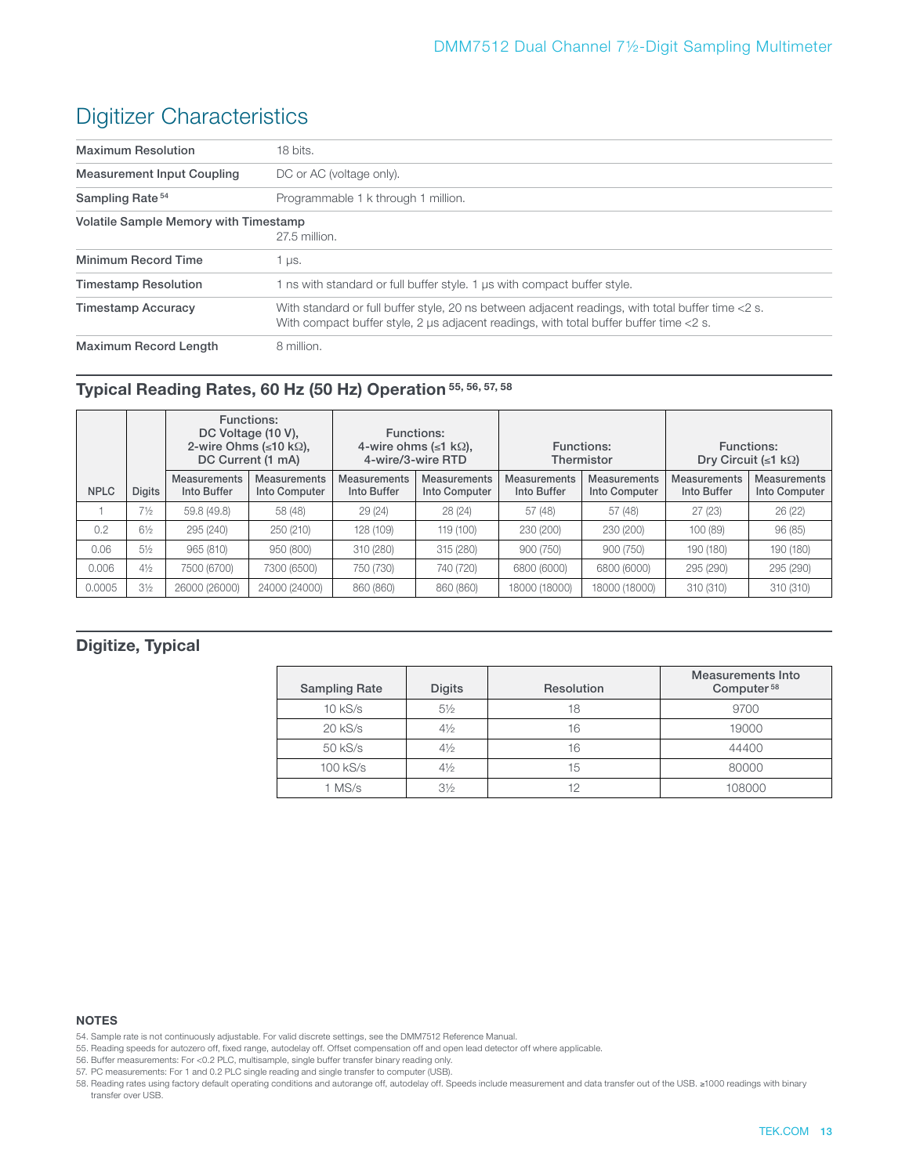# Digitizer Characteristics

| <b>Maximum Resolution</b>                    | 18 bits.                                                                                                                                                                                    |
|----------------------------------------------|---------------------------------------------------------------------------------------------------------------------------------------------------------------------------------------------|
| <b>Measurement Input Coupling</b>            | DC or AC (voltage only).                                                                                                                                                                    |
| Sampling Rate <sup>54</sup>                  | Programmable 1 k through 1 million.                                                                                                                                                         |
| <b>Volatile Sample Memory with Timestamp</b> | 27.5 million.                                                                                                                                                                               |
| Minimum Record Time                          | 1 µs.                                                                                                                                                                                       |
| <b>Timestamp Resolution</b>                  | 1 ns with standard or full buffer style. 1 us with compact buffer style.                                                                                                                    |
| <b>Timestamp Accuracy</b>                    | With standard or full buffer style, 20 ns between adjacent readings, with total buffer time <2 s.<br>With compact buffer style, 2 us adjacent readings, with total buffer buffer time <2 s. |
| <b>Maximum Record Length</b>                 | 8 million.                                                                                                                                                                                  |

### **Typical Reading Rates, 60 Hz (50 Hz) Operation 55, 56, 57, 58**

|             |                |                                    | Functions:<br>DC Voltage (10 V),<br>2-wire Ohms ( $\leq 10$ k $\Omega$ ),<br>DC Current (1 mA) |                                    | <b>Functions:</b><br>4-wire ohms ( $\leq 1$ k $\Omega$ ),<br>4-wire/3-wire RTD | Functions:<br>Thermistor           |                                      | Functions:<br>Dry Circuit ( $\leq 1$ k $\Omega$ ) |                                      |
|-------------|----------------|------------------------------------|------------------------------------------------------------------------------------------------|------------------------------------|--------------------------------------------------------------------------------|------------------------------------|--------------------------------------|---------------------------------------------------|--------------------------------------|
| <b>NPLC</b> | <b>Digits</b>  | <b>Measurements</b><br>Into Buffer | <b>Measurements</b><br>Into Computer                                                           | <b>Measurements</b><br>Into Buffer | <b>Measurements</b><br>Into Computer                                           | <b>Measurements</b><br>Into Buffer | <b>Measurements</b><br>Into Computer | <b>Measurements</b><br>Into Buffer                | <b>Measurements</b><br>Into Computer |
|             | $7\frac{1}{2}$ | 59.8 (49.8)                        | 58 (48)                                                                                        | 29(24)                             | 28(24)                                                                         | 57 (48)                            | 57 (48)                              | 27(23)                                            | 26(22)                               |
| 0.2         | $6\frac{1}{2}$ | 295 (240)                          | 250 (210)                                                                                      | 128 (109)                          | 119 (100)                                                                      | 230 (200)                          | 230 (200)                            | 100 (89)                                          | 96(85)                               |
| 0.06        | $5\%$          | 965 (810)                          | 950 (800)                                                                                      | 310 (280)                          | 315 (280)                                                                      | 900 (750)                          | 900 (750)                            | 190 (180)                                         | 190 (180)                            |
| 0.006       | $4\frac{1}{2}$ | 7500 (6700)                        | 7300 (6500)                                                                                    | 750 (730)                          | 740 (720)                                                                      | 6800 (6000)                        | 6800 (6000)                          | 295 (290)                                         | 295 (290)                            |
| 0.0005      | $3\frac{1}{2}$ | 26000 (26000)                      | 24000 (24000)                                                                                  | 860 (860)                          | 860 (860)                                                                      | 18000 (18000)                      | 18000 (18000)                        | 310 (310)                                         | 310 (310)                            |

### **Digitize, Typical**

| <b>Sampling Rate</b> | <b>Digits</b>  | Resolution | Measurements Into<br>Computer <sup>58</sup> |
|----------------------|----------------|------------|---------------------------------------------|
| $10$ kS/s            | $5\frac{1}{2}$ | 18         | 9700                                        |
| $20$ kS/s            | $4\frac{1}{2}$ | 16         | 19000                                       |
| 50 kS/s              | $4\frac{1}{2}$ | 16         | 44400                                       |
| 100 kS/s             | $4\frac{1}{2}$ | 15         | 80000                                       |
| $1$ MS/s             | $3\frac{1}{2}$ | 12         | 108000                                      |

#### **NOTES**

- 54. Sample rate is not continuously adjustable. For valid discrete settings, see the DMM7512 Reference Manual.
- 55. Reading speeds for autozero off, fixed range, autodelay off. Offset compensation off and open lead detector off where applicable.
- 56. Buffer measurements: For <0.2 PLC, multisample, single buffer transfer binary reading only.
- 57. PC measurements: For 1 and 0.2 PLC single reading and single transfer to computer (USB).

58. Reading rates using factory default operating conditions and autorange off, autodelay off. Speeds include measurement and data transfer out of the USB. ≥1000 readings with binary transfer over USB.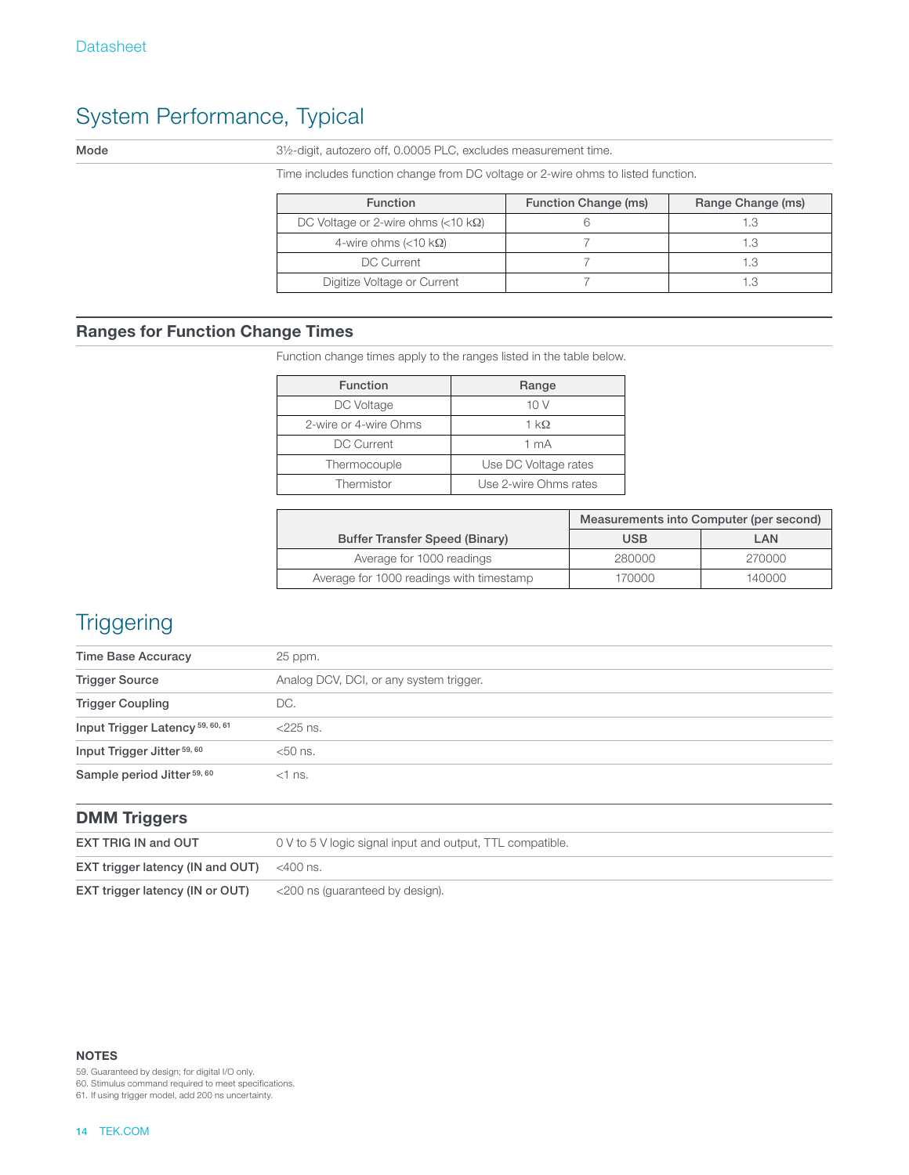# System Performance, Typical

Mode 31/2-digit, autozero off, 0.0005 PLC, excludes measurement time.

Time includes function change from DC voltage or 2-wire ohms to listed function.

| <b>Function</b>                                     | Function Change (ms) | Range Change (ms) |
|-----------------------------------------------------|----------------------|-------------------|
| DC Voltage or 2-wire ohms $\left($ <10 k $\Omega$ ) |                      | 1.3               |
| 4-wire ohms $(<10 \text{ k}\Omega)$                 |                      | 1.3               |
| DC Current                                          |                      | 1.3               |
| Digitize Voltage or Current                         |                      |                   |

### **Ranges for Function Change Times**

Function change times apply to the ranges listed in the table below.

| <b>Function</b>       | Range                 |
|-----------------------|-----------------------|
| DC Voltage            | 10 V                  |
| 2-wire or 4-wire Ohms | $1 \text{ k}\Omega$   |
| <b>DC Current</b>     | 1 mA                  |
| Thermocouple          | Use DC Voltage rates  |
| Thermistor            | Use 2-wire Ohms rates |

|                                          | Measurements into Computer (per second) |        |
|------------------------------------------|-----------------------------------------|--------|
| <b>Buffer Transfer Speed (Binary)</b>    | <b>USB</b>                              | LAN    |
| Average for 1000 readings                | 280000                                  | 270000 |
| Average for 1000 readings with timestamp | 170000                                  | 140000 |

# **Triggering**

| Time Base Accuracy                     | 25 ppm.                                 |  |
|----------------------------------------|-----------------------------------------|--|
| <b>Trigger Source</b>                  | Analog DCV, DCI, or any system trigger. |  |
| <b>Trigger Coupling</b>                | DC.                                     |  |
| Input Trigger Latency 59, 60, 61       | $<$ 225 ns.                             |  |
| Input Trigger Jitter <sup>59, 60</sup> | $<$ 50 ns.                              |  |
| Sample period Jitter <sup>59, 60</sup> | $<$ 1 ns.                               |  |

|  | <b>DMM Triggers</b> |
|--|---------------------|
|--|---------------------|

| <b>EXT TRIG IN and OUT</b>                             | 0 V to 5 V logic signal input and output, TTL compatible. |
|--------------------------------------------------------|-----------------------------------------------------------|
| <b>EXT trigger latency (IN and OUT)</b> $\leq 400$ ns. |                                                           |
| EXT trigger latency (IN or OUT)                        | <200 ns (guaranteed by design).                           |

**NOTES**

59. Guaranteed by design; for digital I/O only.

60. Stimulus command required to meet specifications.

61. If using trigger model, add 200 ns uncertainty.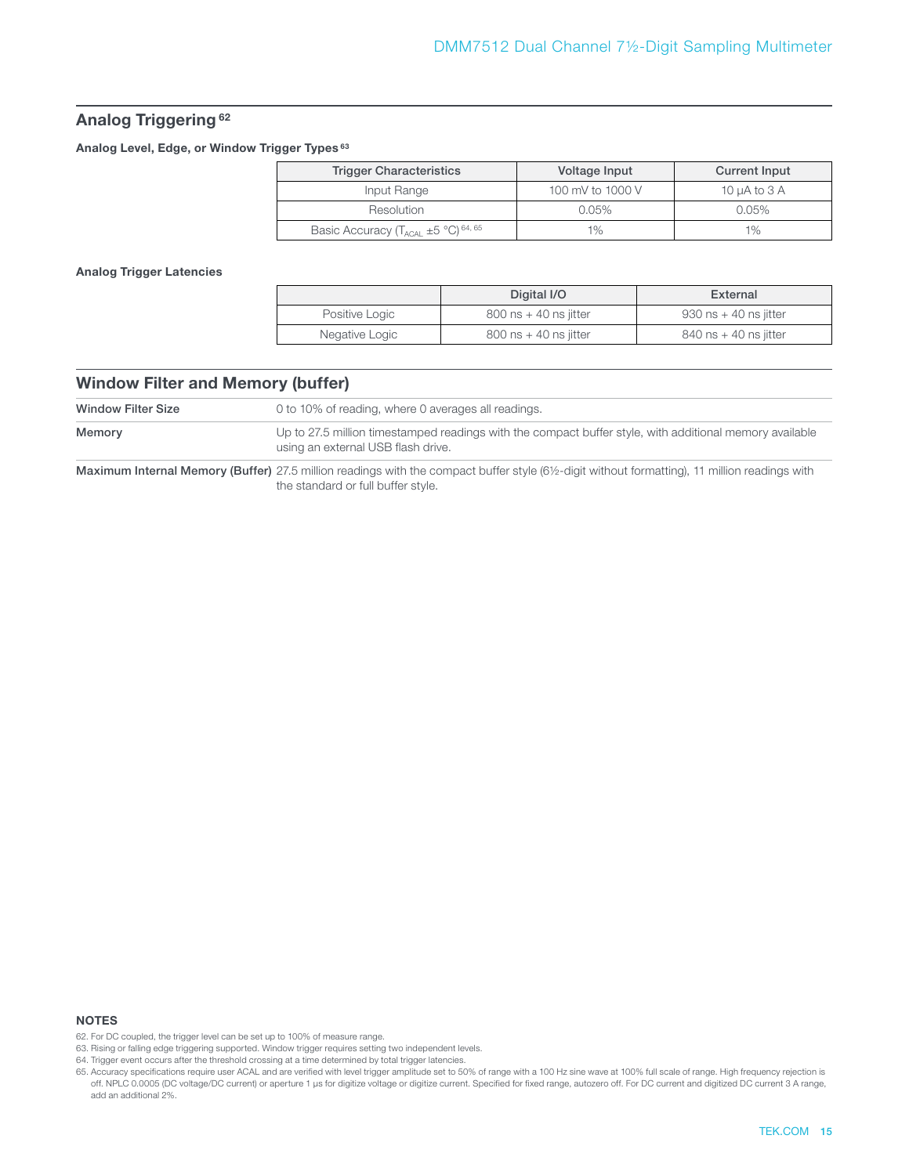#### **Analog Triggering 62**

**Analog Level, Edge, or Window Trigger Types 63**

| <b>Trigger Characteristics</b>                      | Voltage Input    | Current Input     |
|-----------------------------------------------------|------------------|-------------------|
| Input Range                                         | 100 mV to 1000 V | 10 $\mu$ A to 3 A |
| Resolution                                          | $0.05\%$         | $0.05\%$          |
| Basic Accuracy $(T_{ACAl} \pm 5 \degree C)^{64,65}$ | $1\%$            | $1\%$             |

**Analog Trigger Latencies**

|                | Digital I/O               | External                  |
|----------------|---------------------------|---------------------------|
| Positive Logic | $800$ ns $+$ 40 ns iitter | $930$ ns $+$ 40 ns iitter |
| Negative Logic | $800$ ns $+$ 40 ns jitter | $840$ ns + 40 ns jitter   |

#### **Window Filter and Memory (buffer)**

| Window Filter Size | 0 to 10% of reading, where 0 averages all readings.                                                                                           |  |
|--------------------|-----------------------------------------------------------------------------------------------------------------------------------------------|--|
| Memory             | Up to 27.5 million timestamped readings with the compact buffer style, with additional memory available<br>using an external USB flash drive. |  |

Maximum Internal Memory (Buffer) 27.5 million readings with the compact buffer style (6½-digit without formatting), 11 million readings with the standard or full buffer style.

<sup>62.</sup> For DC coupled, the trigger level can be set up to 100% of measure range.

<sup>63.</sup> Rising or falling edge triggering supported. Window trigger requires setting two independent levels.

<sup>64.</sup> Trigger event occurs after the threshold crossing at a time determined by total trigger latencies.

<sup>65.</sup> Accuracy specifications require user ACAL and are verified with level trigger amplitude set to 50% of range with a 100 Hz sine wave at 100% full scale of range. High frequency rejection is off. NPLC 0.0005 (DC voltage/DC current) or aperture 1 us for digitize voltage or digitize current. Specified for fixed range, autozero off. For DC current and digitized DC current 3 A range, add an additional 2%.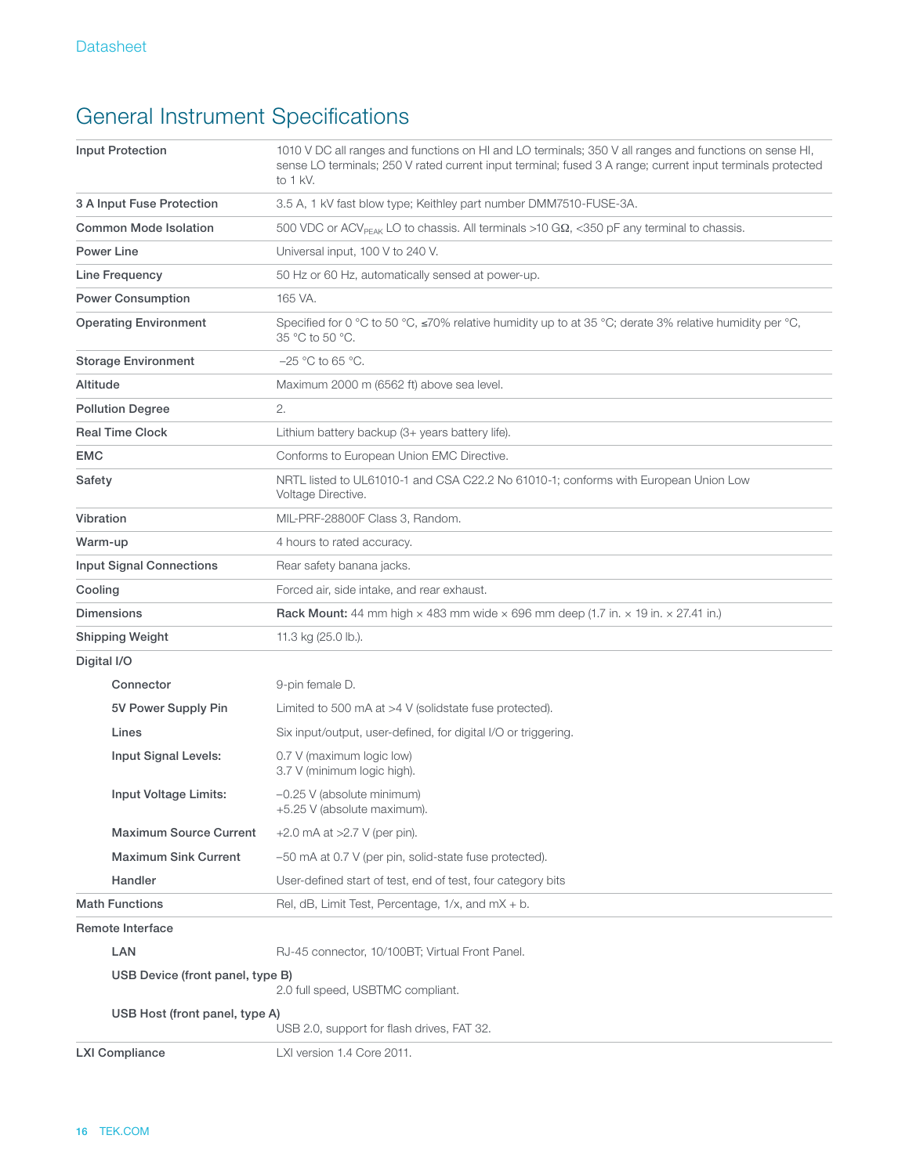# General Instrument Specifications

| <b>Input Protection</b>          | 1010 V DC all ranges and functions on HI and LO terminals; 350 V all ranges and functions on sense HI,<br>sense LO terminals; 250 V rated current input terminal; fused 3 A range; current input terminals protected<br>to 1 kV. |
|----------------------------------|----------------------------------------------------------------------------------------------------------------------------------------------------------------------------------------------------------------------------------|
| 3 A Input Fuse Protection        | 3.5 A, 1 kV fast blow type; Keithley part number DMM7510-FUSE-3A.                                                                                                                                                                |
| <b>Common Mode Isolation</b>     | 500 VDC or ACV <sub>PFAK</sub> LO to chassis. All terminals >10 G $\Omega$ , <350 pF any terminal to chassis.                                                                                                                    |
| Power Line                       | Universal input, 100 V to 240 V.                                                                                                                                                                                                 |
| Line Frequency                   | 50 Hz or 60 Hz, automatically sensed at power-up.                                                                                                                                                                                |
| <b>Power Consumption</b>         | 165 VA.                                                                                                                                                                                                                          |
| <b>Operating Environment</b>     | Specified for 0 °C to 50 °C, $\leq$ 70% relative humidity up to at 35 °C; derate 3% relative humidity per °C,<br>35 °C to 50 °C.                                                                                                 |
| <b>Storage Environment</b>       | $-25$ °C to 65 °C.                                                                                                                                                                                                               |
| Altitude                         | Maximum 2000 m (6562 ft) above sea level.                                                                                                                                                                                        |
| <b>Pollution Degree</b>          | 2.                                                                                                                                                                                                                               |
| <b>Real Time Clock</b>           | Lithium battery backup (3+ years battery life).                                                                                                                                                                                  |
| <b>EMC</b>                       | Conforms to European Union EMC Directive.                                                                                                                                                                                        |
| Safety                           | NRTL listed to UL61010-1 and CSA C22.2 No 61010-1; conforms with European Union Low<br>Voltage Directive.                                                                                                                        |
| Vibration                        | MIL-PRF-28800F Class 3. Random.                                                                                                                                                                                                  |
| Warm-up                          | 4 hours to rated accuracy.                                                                                                                                                                                                       |
| <b>Input Signal Connections</b>  | Rear safety banana jacks.                                                                                                                                                                                                        |
| Cooling                          | Forced air, side intake, and rear exhaust.                                                                                                                                                                                       |
|                                  |                                                                                                                                                                                                                                  |
| <b>Dimensions</b>                | Rack Mount: 44 mm high $\times$ 483 mm wide $\times$ 696 mm deep (1.7 in. $\times$ 19 in. $\times$ 27.41 in.)                                                                                                                    |
| <b>Shipping Weight</b>           | 11.3 kg (25.0 lb.).                                                                                                                                                                                                              |
| Digital I/O                      |                                                                                                                                                                                                                                  |
| Connector                        | 9-pin female D.                                                                                                                                                                                                                  |
| 5V Power Supply Pin              | Limited to 500 mA at $>4$ V (solidstate fuse protected).                                                                                                                                                                         |
| Lines                            | Six input/output, user-defined, for digital I/O or triggering.                                                                                                                                                                   |
| Input Signal Levels:             | 0.7 V (maximum logic low)<br>3.7 V (minimum logic high).                                                                                                                                                                         |
| Input Voltage Limits:            | $-0.25$ V (absolute minimum)<br>+5.25 V (absolute maximum).                                                                                                                                                                      |
| <b>Maximum Source Current</b>    | $+2.0$ mA at $>2.7$ V (per pin).                                                                                                                                                                                                 |
| <b>Maximum Sink Current</b>      | -50 mA at 0.7 V (per pin, solid-state fuse protected).                                                                                                                                                                           |
| Handler                          | User-defined start of test, end of test, four category bits                                                                                                                                                                      |
| <b>Math Functions</b>            | Rel, dB, Limit Test, Percentage, $1/x$ , and $mX + b$ .                                                                                                                                                                          |
| Remote Interface                 |                                                                                                                                                                                                                                  |
| LAN                              | RJ-45 connector, 10/100BT; Virtual Front Panel.                                                                                                                                                                                  |
| USB Device (front panel, type B) | 2.0 full speed, USBTMC compliant.                                                                                                                                                                                                |
| USB Host (front panel, type A)   | USB 2.0, support for flash drives, FAT 32.                                                                                                                                                                                       |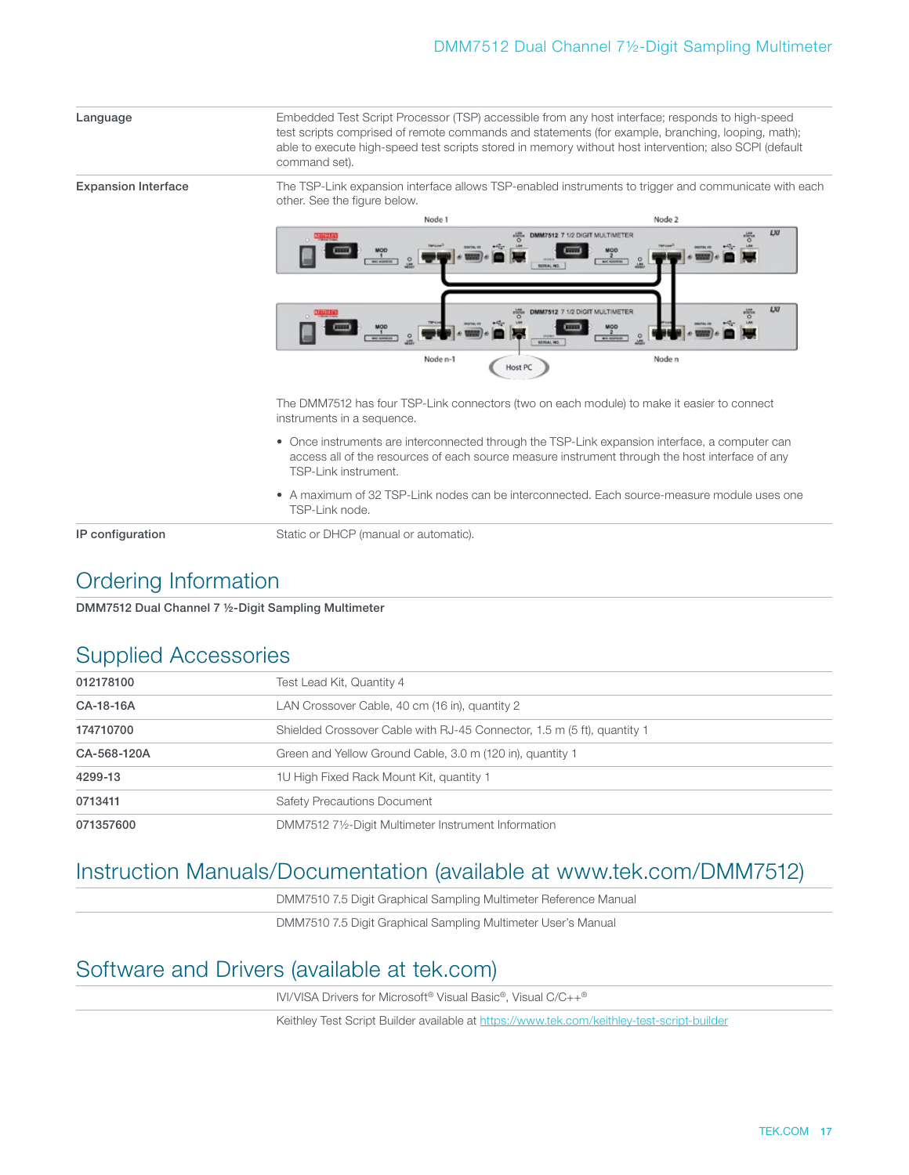| Language                   | Embedded Test Script Processor (TSP) accessible from any host interface; responds to high-speed<br>test scripts comprised of remote commands and statements (for example, branching, looping, math);<br>able to execute high-speed test scripts stored in memory without host intervention; also SCPI (default<br>command set). |                                                                                                                                                                         |  |
|----------------------------|---------------------------------------------------------------------------------------------------------------------------------------------------------------------------------------------------------------------------------------------------------------------------------------------------------------------------------|-------------------------------------------------------------------------------------------------------------------------------------------------------------------------|--|
| <b>Expansion Interface</b> | The TSP-Link expansion interface allows TSP-enabled instruments to trigger and communicate with each<br>other. See the figure below.                                                                                                                                                                                            |                                                                                                                                                                         |  |
|                            | Node 1                                                                                                                                                                                                                                                                                                                          | Node 2                                                                                                                                                                  |  |
|                            | <b>BACASSIETIS</b><br>SERAL NO.<br>DMM7512<br>$\frac{\text{MOD}}{1}$<br>$\frac{0}{2}$<br><b>BERAL NO.</b><br>Node n-1<br>Host PC                                                                                                                                                                                                | LXI<br>DMM7512 7 1/2 DIGIT MULTIMETER<br><b>WAY ADDRESS</b><br>1/2 DIGIT MULTIMETER<br>$\frac{\text{MOD}}{2}$<br>$\stackrel{\circ}{\phantom{}_{\mathcal{M}}}$<br>Node n |  |
|                            | The DMM7512 has four TSP-Link connectors (two on each module) to make it easier to connect<br>instruments in a sequence.                                                                                                                                                                                                        |                                                                                                                                                                         |  |
|                            | • Once instruments are interconnected through the TSP-Link expansion interface, a computer can<br>access all of the resources of each source measure instrument through the host interface of any<br>TSP-Link instrument.                                                                                                       |                                                                                                                                                                         |  |
|                            | • A maximum of 32 TSP-Link nodes can be interconnected. Each source-measure module uses one<br>TSP-Link node.                                                                                                                                                                                                                   |                                                                                                                                                                         |  |
| IP configuration           | Static or DHCP (manual or automatic).                                                                                                                                                                                                                                                                                           |                                                                                                                                                                         |  |

## Ordering Information

DMM7512 Dual Channel 7 ½-Digit Sampling Multimeter

### Supplied Accessories

| 012178100   | Test Lead Kit, Quantity 4                                               |
|-------------|-------------------------------------------------------------------------|
| CA-18-16A   | LAN Crossover Cable, 40 cm (16 in), quantity 2                          |
| 174710700   | Shielded Crossover Cable with RJ-45 Connector, 1.5 m (5 ft), quantity 1 |
| CA-568-120A | Green and Yellow Ground Cable, 3.0 m (120 in), quantity 1               |
| 4299-13     | 10 High Fixed Rack Mount Kit, quantity 1                                |
| 0713411     | <b>Safety Precautions Document</b>                                      |
| 071357600   | DMM7512 71/2-Digit Multimeter Instrument Information                    |

## Instruction Manuals/Documentation (available at www.tek.com/DMM7512)

DMM7510 7.5 Digit Graphical Sampling Multimeter Reference Manual

DMM7510 7.5 Digit Graphical Sampling Multimeter User's Manual

# Software and Drivers (available at tek.com)

IVI/VISA Drivers for Microsoft® Visual Basic®, Visual C/C++®

Keithley Test Script Builder available at<https://www.tek.com/keithley-test-script-builder>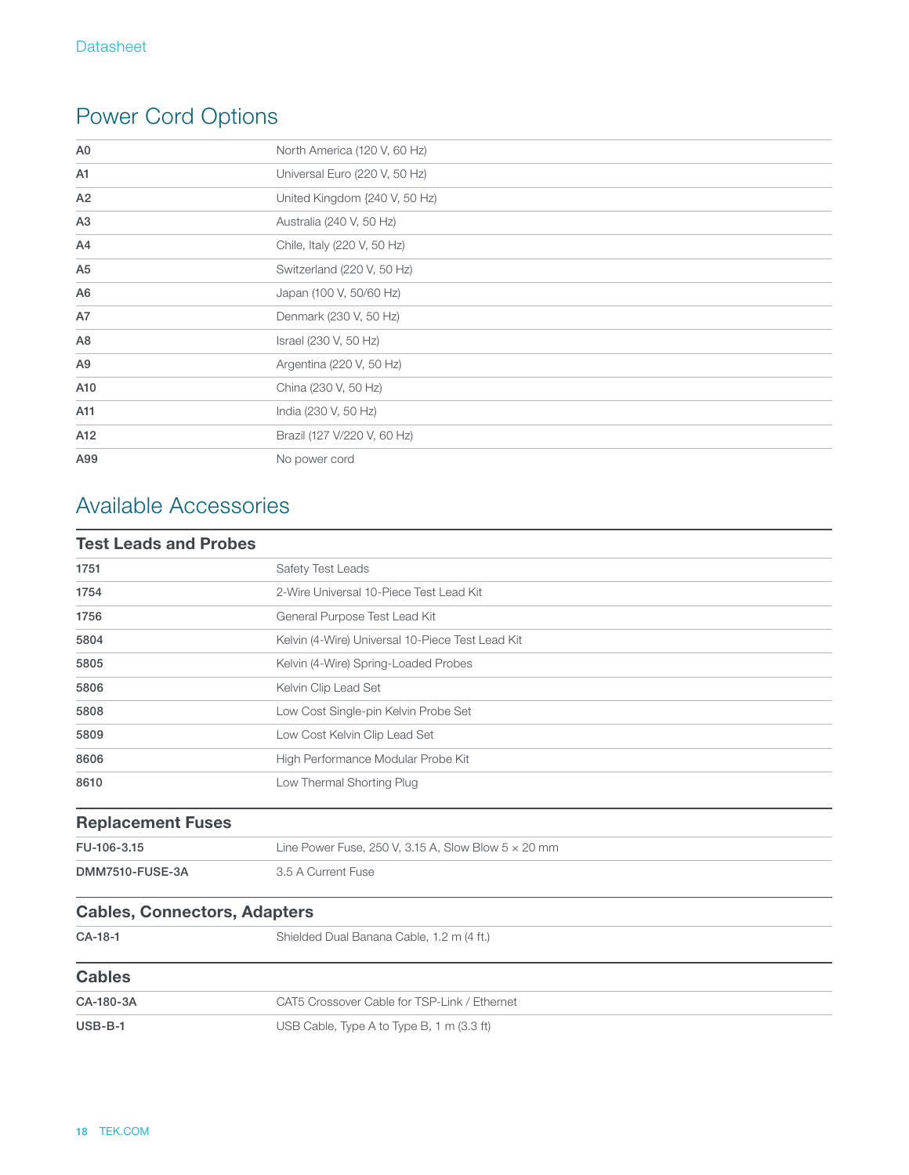# Power Cord Options

| A <sub>0</sub> | North America (120 V, 60 Hz)  |
|----------------|-------------------------------|
| A1             | Universal Euro (220 V, 50 Hz) |
| A2             | United Kingdom {240 V, 50 Hz) |
| A3             | Australia (240 V, 50 Hz)      |
| A4             | Chile, Italy (220 V, 50 Hz)   |
| A <sub>5</sub> | Switzerland (220 V, 50 Hz)    |
| A <sub>6</sub> | Japan (100 V, 50/60 Hz)       |
| A7             | Denmark (230 V, 50 Hz)        |
| A <sub>8</sub> | Israel (230 V, 50 Hz)         |
| A <sub>9</sub> | Argentina (220 V, 50 Hz)      |
| A10            | China (230 V, 50 Hz)          |
| A11            | India (230 V, 50 Hz)          |
| A12            | Brazil (127 V/220 V, 60 Hz)   |
| A99            | No power cord                 |

# Available Accessories

| <b>Test Leads and Probes</b>        |                                                            |  |
|-------------------------------------|------------------------------------------------------------|--|
| 1751                                | Safety Test Leads                                          |  |
| 1754                                | 2-Wire Universal 10-Piece Test Lead Kit                    |  |
| 1756                                | General Purpose Test Lead Kit                              |  |
| 5804                                | Kelvin (4-Wire) Universal 10-Piece Test Lead Kit           |  |
| 5805                                | Kelvin (4-Wire) Spring-Loaded Probes                       |  |
| 5806                                | Kelvin Clip Lead Set                                       |  |
| 5808                                | Low Cost Single-pin Kelvin Probe Set                       |  |
| 5809                                | Low Cost Kelvin Clip Lead Set                              |  |
| 8606                                | High Performance Modular Probe Kit                         |  |
| 8610                                | Low Thermal Shorting Plug                                  |  |
| <b>Replacement Fuses</b>            |                                                            |  |
| FU-106-3.15                         | Line Power Fuse, 250 V, 3.15 A, Slow Blow $5 \times 20$ mm |  |
| DMM7510-FUSE-3A                     | 3.5 A Current Fuse                                         |  |
| <b>Cables, Connectors, Adapters</b> |                                                            |  |
| CA-18-1                             | Shielded Dual Banana Cable, 1.2 m (4 ft.)                  |  |
| <b>Cables</b>                       |                                                            |  |
| CA-180-3A                           | CAT5 Crossover Cable for TSP-Link / Ethernet               |  |
| $USB-B-1$                           | USB Cable, Type A to Type B, 1 m (3.3 ft)                  |  |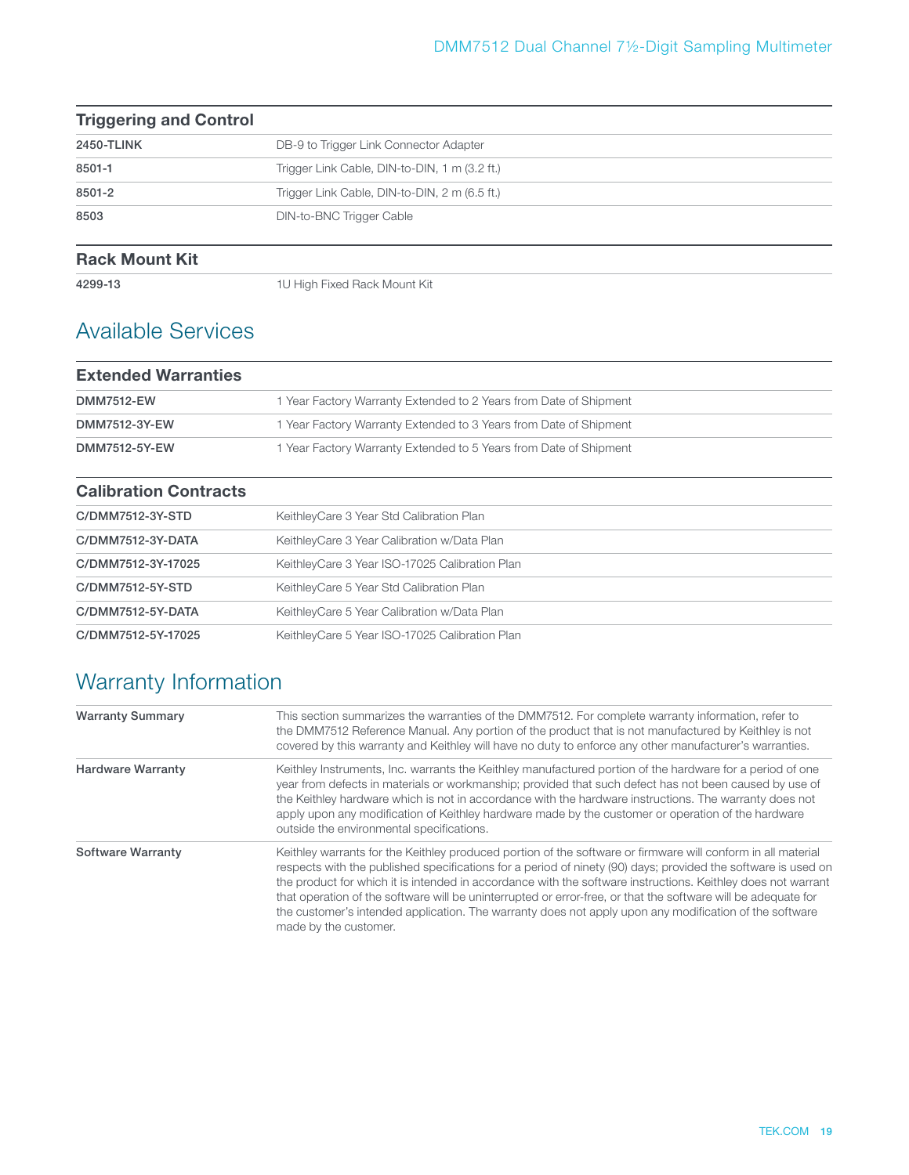| <b>Triggering and Control</b> |                                               |
|-------------------------------|-----------------------------------------------|
| 2450-TLINK                    | DB-9 to Trigger Link Connector Adapter        |
| 8501-1                        | Trigger Link Cable, DIN-to-DIN, 1 m (3.2 ft.) |
| 8501-2                        | Trigger Link Cable, DIN-to-DIN, 2 m (6.5 ft.) |
| 8503                          | <b>DIN-to-BNC Trigger Cable</b>               |

#### **Rack Mount Kit**

4299-13 1U High Fixed Rack Mount Kit

### Available Services

| <b>Extended Warranties</b> |                                                                   |
|----------------------------|-------------------------------------------------------------------|
| <b>DMM7512-EW</b>          | 1 Year Factory Warranty Extended to 2 Years from Date of Shipment |
| DMM7512-3Y-EW              | 1 Year Factory Warranty Extended to 3 Years from Date of Shipment |
| DMM7512-5Y-EW              | 1 Year Factory Warranty Extended to 5 Years from Date of Shipment |

### **Calibration Contracts** C/DMM7512-3Y-STD KeithleyCare 3 Year Std Calibration Plan C/DMM7512-3Y-DATA KeithleyCare 3 Year Calibration w/Data Plan C/DMM7512-3Y-17025 KeithleyCare 3 Year ISO-17025 Calibration Plan C/DMM7512-5Y-STD KeithleyCare 5 Year Std Calibration Plan C/DMM7512-5Y-DATA KeithleyCare 5 Year Calibration w/Data Plan C/DMM7512-5Y-17025 KeithleyCare 5 Year ISO-17025 Calibration Plan

# Warranty Information

| <b>Warranty Summary</b>  | This section summarizes the warranties of the DMM7512. For complete warranty information, refer to<br>the DMM7512 Reference Manual. Any portion of the product that is not manufactured by Keithley is not<br>covered by this warranty and Keithley will have no duty to enforce any other manufacturer's warranties.                                                                                                                                                                                                                                                                             |
|--------------------------|---------------------------------------------------------------------------------------------------------------------------------------------------------------------------------------------------------------------------------------------------------------------------------------------------------------------------------------------------------------------------------------------------------------------------------------------------------------------------------------------------------------------------------------------------------------------------------------------------|
| <b>Hardware Warranty</b> | Keithley Instruments, Inc. warrants the Keithley manufactured portion of the hardware for a period of one<br>year from defects in materials or workmanship; provided that such defect has not been caused by use of<br>the Keithley hardware which is not in accordance with the hardware instructions. The warranty does not<br>apply upon any modification of Keithley hardware made by the customer or operation of the hardware<br>outside the environmental specifications.                                                                                                                  |
| <b>Software Warranty</b> | Keithley warrants for the Keithley produced portion of the software or firmware will conform in all material<br>respects with the published specifications for a period of ninety (90) days; provided the software is used on<br>the product for which it is intended in accordance with the software instructions. Keithley does not warrant<br>that operation of the software will be uninterrupted or error-free, or that the software will be adequate for<br>the customer's intended application. The warranty does not apply upon any modification of the software<br>made by the customer. |